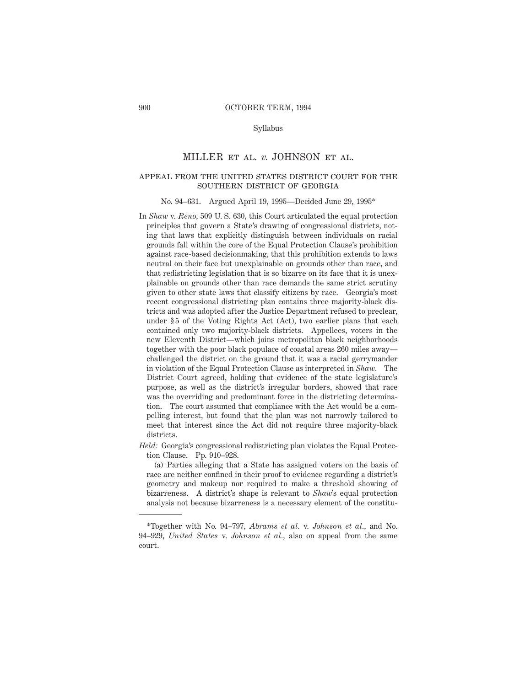#### Syllabus

### MILLER et al. *v.* JOHNSON et al.

# appeal from the united states district court for the SOUTHERN DISTRICT OF GEORGIA

### No. 94–631. Argued April 19, 1995—Decided June 29, 1995\*

- In *Shaw* v. *Reno,* 509 U. S. 630, this Court articulated the equal protection principles that govern a State's drawing of congressional districts, noting that laws that explicitly distinguish between individuals on racial grounds fall within the core of the Equal Protection Clause's prohibition against race-based decisionmaking, that this prohibition extends to laws neutral on their face but unexplainable on grounds other than race, and that redistricting legislation that is so bizarre on its face that it is unexplainable on grounds other than race demands the same strict scrutiny given to other state laws that classify citizens by race. Georgia's most recent congressional districting plan contains three majority-black districts and was adopted after the Justice Department refused to preclear, under § 5 of the Voting Rights Act (Act), two earlier plans that each contained only two majority-black districts. Appellees, voters in the new Eleventh District—which joins metropolitan black neighborhoods together with the poor black populace of coastal areas 260 miles away challenged the district on the ground that it was a racial gerrymander in violation of the Equal Protection Clause as interpreted in *Shaw.* The District Court agreed, holding that evidence of the state legislature's purpose, as well as the district's irregular borders, showed that race was the overriding and predominant force in the districting determination. The court assumed that compliance with the Act would be a compelling interest, but found that the plan was not narrowly tailored to meet that interest since the Act did not require three majority-black districts.
- *Held:* Georgia's congressional redistricting plan violates the Equal Protection Clause. Pp. 910–928.

(a) Parties alleging that a State has assigned voters on the basis of race are neither confined in their proof to evidence regarding a district's geometry and makeup nor required to make a threshold showing of bizarreness. A district's shape is relevant to *Shaw*'s equal protection analysis not because bizarreness is a necessary element of the constitu-

<sup>\*</sup>Together with No. 94–797, *Abrams et al.* v. *Johnson et al.,* and No. 94–929, *United States* v. *Johnson et al.,* also on appeal from the same court.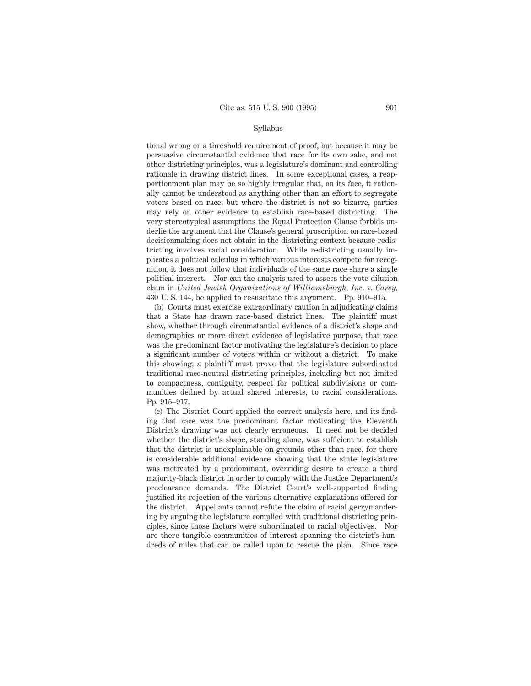#### Syllabus

tional wrong or a threshold requirement of proof, but because it may be persuasive circumstantial evidence that race for its own sake, and not other districting principles, was a legislature's dominant and controlling rationale in drawing district lines. In some exceptional cases, a reapportionment plan may be so highly irregular that, on its face, it rationally cannot be understood as anything other than an effort to segregate voters based on race, but where the district is not so bizarre, parties may rely on other evidence to establish race-based districting. The very stereotypical assumptions the Equal Protection Clause forbids underlie the argument that the Clause's general proscription on race-based decisionmaking does not obtain in the districting context because redistricting involves racial consideration. While redistricting usually implicates a political calculus in which various interests compete for recognition, it does not follow that individuals of the same race share a single political interest. Nor can the analysis used to assess the vote dilution claim in *United Jewish Organizations of Williamsburgh, Inc.* v. *Carey,* 430 U. S. 144, be applied to resuscitate this argument. Pp. 910–915.

(b) Courts must exercise extraordinary caution in adjudicating claims that a State has drawn race-based district lines. The plaintiff must show, whether through circumstantial evidence of a district's shape and demographics or more direct evidence of legislative purpose, that race was the predominant factor motivating the legislature's decision to place a significant number of voters within or without a district. To make this showing, a plaintiff must prove that the legislature subordinated traditional race-neutral districting principles, including but not limited to compactness, contiguity, respect for political subdivisions or communities defined by actual shared interests, to racial considerations. Pp. 915–917.

(c) The District Court applied the correct analysis here, and its finding that race was the predominant factor motivating the Eleventh District's drawing was not clearly erroneous. It need not be decided whether the district's shape, standing alone, was sufficient to establish that the district is unexplainable on grounds other than race, for there is considerable additional evidence showing that the state legislature was motivated by a predominant, overriding desire to create a third majority-black district in order to comply with the Justice Department's preclearance demands. The District Court's well-supported finding justified its rejection of the various alternative explanations offered for the district. Appellants cannot refute the claim of racial gerrymandering by arguing the legislature complied with traditional districting principles, since those factors were subordinated to racial objectives. Nor are there tangible communities of interest spanning the district's hundreds of miles that can be called upon to rescue the plan. Since race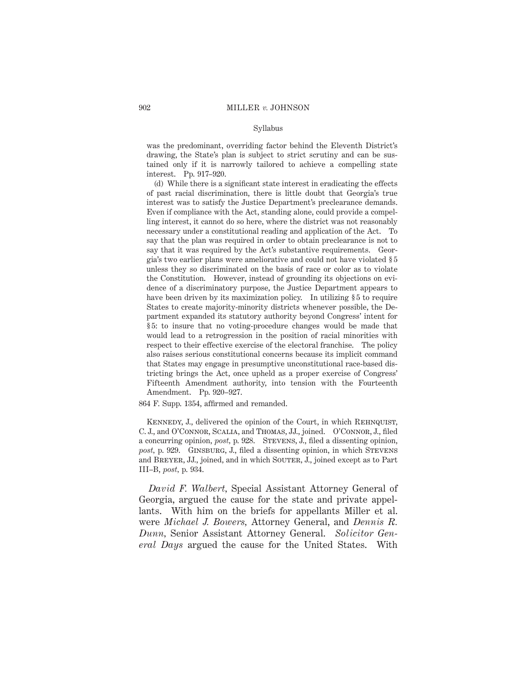#### Syllabus

was the predominant, overriding factor behind the Eleventh District's drawing, the State's plan is subject to strict scrutiny and can be sustained only if it is narrowly tailored to achieve a compelling state interest. Pp. 917–920.

(d) While there is a significant state interest in eradicating the effects of past racial discrimination, there is little doubt that Georgia's true interest was to satisfy the Justice Department's preclearance demands. Even if compliance with the Act, standing alone, could provide a compelling interest, it cannot do so here, where the district was not reasonably necessary under a constitutional reading and application of the Act. To say that the plan was required in order to obtain preclearance is not to say that it was required by the Act's substantive requirements. Georgia's two earlier plans were ameliorative and could not have violated § 5 unless they so discriminated on the basis of race or color as to violate the Constitution. However, instead of grounding its objections on evidence of a discriminatory purpose, the Justice Department appears to have been driven by its maximization policy. In utilizing § 5 to require States to create majority-minority districts whenever possible, the Department expanded its statutory authority beyond Congress' intent for § 5: to insure that no voting-procedure changes would be made that would lead to a retrogression in the position of racial minorities with respect to their effective exercise of the electoral franchise. The policy also raises serious constitutional concerns because its implicit command that States may engage in presumptive unconstitutional race-based districting brings the Act, once upheld as a proper exercise of Congress' Fifteenth Amendment authority, into tension with the Fourteenth Amendment. Pp. 920–927.

864 F. Supp. 1354, affirmed and remanded.

KENNEDY, J., delivered the opinion of the Court, in which REHNQUIST, C. J., and O'Connor, Scalia, and Thomas, JJ., joined. O'Connor, J., filed a concurring opinion, *post,* p. 928. Stevens, J., filed a dissenting opinion, *post,* p. 929. Ginsburg, J., filed a dissenting opinion, in which Stevens and BREYER, JJ., joined, and in which SOUTER, J., joined except as to Part III–B, *post,* p. 934.

*David F. Walbert,* Special Assistant Attorney General of Georgia, argued the cause for the state and private appellants. With him on the briefs for appellants Miller et al. were *Michael J. Bowers,* Attorney General, and *Dennis R. Dunn,* Senior Assistant Attorney General. *Solicitor General Days* argued the cause for the United States. With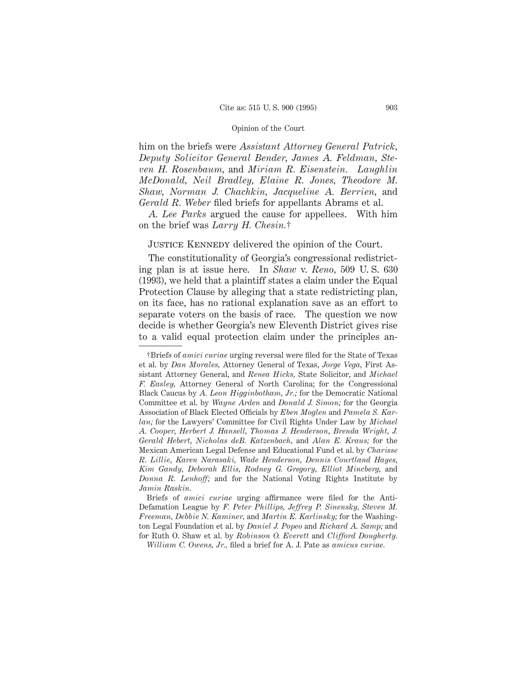him on the briefs were *Assistant Attorney General Patrick, Deputy Solicitor General Bender, James A. Feldman, Steven H. Rosenbaum,* and *Miriam R. Eisenstein. Laughlin McDonald, Neil Bradley, Elaine R. Jones, Theodore M. Shaw, Norman J. Chachkin, Jacqueline A. Berrien,* and *Gerald R. Weber* filed briefs for appellants Abrams et al.

*A. Lee Parks* argued the cause for appellees. With him on the brief was *Larry H. Chesin.*†

# JUSTICE KENNEDY delivered the opinion of the Court.

The constitutionality of Georgia's congressional redistricting plan is at issue here. In *Shaw* v. *Reno,* 509 U. S. 630 (1993), we held that a plaintiff states a claim under the Equal Protection Clause by alleging that a state redistricting plan, on its face, has no rational explanation save as an effort to separate voters on the basis of race. The question we now decide is whether Georgia's new Eleventh District gives rise to a valid equal protection claim under the principles an-

<sup>†</sup>Briefs of *amici curiae* urging reversal were filed for the State of Texas et al. by *Dan Morales,* Attorney General of Texas, *Jorge Vega,* First Assistant Attorney General, and *Renea Hicks,* State Solicitor, and *Michael F. Easley,* Attorney General of North Carolina; for the Congressional Black Caucus by *A. Leon Higginbotham, Jr.;* for the Democratic National Committee et al. by *Wayne Arden* and *Donald J. Simon;* for the Georgia Association of Black Elected Officials by *Eben Moglen* and *Pamela S. Karlan;* for the Lawyers' Committee for Civil Rights Under Law by *Michael A. Cooper, Herbert J. Hansell, Thomas J. Henderson, Brenda Wright, J. Gerald Hebert, Nicholas deB. Katzenbach,* and *Alan E. Kraus;* for the Mexican American Legal Defense and Educational Fund et al. by *Charisse R. Lillie, Karen Narasaki, Wade Henderson, Dennis Courtland Hayes, Kim Gandy, Deborah Ellis, Rodney G. Gregory, Elliot Mincberg,* and *Donna R. Lenhoff;* and for the National Voting Rights Institute by *Jamin Raskin.*

Briefs of *amici curiae* urging affirmance were filed for the Anti-Defamation League by *F. Peter Phillips, Jeffrey P. Sinensky, Steven M. Freeman, Debbie N. Kaminer,* and *Martin E. Karlinsky;* for the Washington Legal Foundation et al. by *Daniel J. Popeo* and *Richard A. Samp;* and for Ruth O. Shaw et al. by *Robinson O. Everett* and *Clifford Dougherty.*

*William C. Owens, Jr.,* filed a brief for A. J. Pate as *amicus curiae.*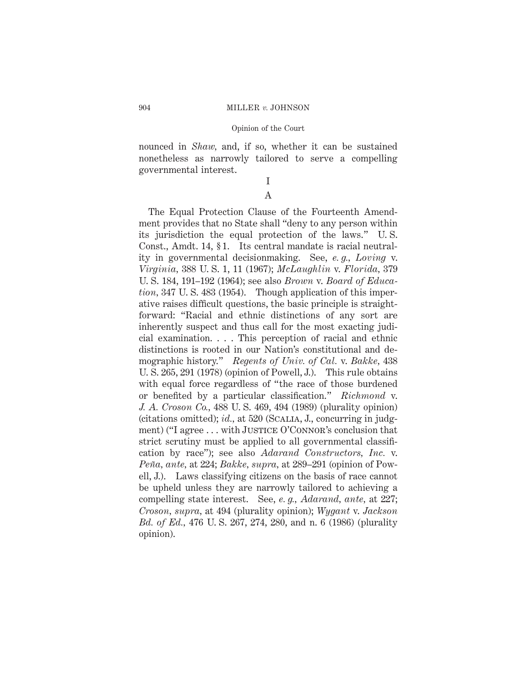nounced in *Shaw,* and, if so, whether it can be sustained nonetheless as narrowly tailored to serve a compelling governmental interest.

# I A

The Equal Protection Clause of the Fourteenth Amendment provides that no State shall "deny to any person within its jurisdiction the equal protection of the laws." U. S. Const., Amdt. 14, § 1. Its central mandate is racial neutrality in governmental decisionmaking. See, *e. g., Loving* v. *Virginia,* 388 U. S. 1, 11 (1967); *McLaughlin* v. *Florida,* 379 U. S. 184, 191–192 (1964); see also *Brown* v. *Board of Education,* 347 U. S. 483 (1954). Though application of this imperative raises difficult questions, the basic principle is straightforward: "Racial and ethnic distinctions of any sort are inherently suspect and thus call for the most exacting judicial examination. . . . This perception of racial and ethnic distinctions is rooted in our Nation's constitutional and demographic history." *Regents of Univ. of Cal.* v. *Bakke,* 438 U. S. 265, 291 (1978) (opinion of Powell, J.). This rule obtains with equal force regardless of "the race of those burdened or benefited by a particular classification." *Richmond* v. *J. A. Croson Co.,* 488 U. S. 469, 494 (1989) (plurality opinion) (citations omitted); *id.,* at 520 (Scalia, J., concurring in judgment) ("I agree ... with JUSTICE O'CONNOR's conclusion that strict scrutiny must be applied to all governmental classification by race"); see also *Adarand Constructors, Inc.* v. *Pen˜a, ante,* at 224; *Bakke, supra,* at 289–291 (opinion of Powell, J.). Laws classifying citizens on the basis of race cannot be upheld unless they are narrowly tailored to achieving a compelling state interest. See, *e. g., Adarand, ante,* at 227; *Croson, supra,* at 494 (plurality opinion); *Wygant* v. *Jackson Bd. of Ed.,* 476 U. S. 267, 274, 280, and n. 6 (1986) (plurality opinion).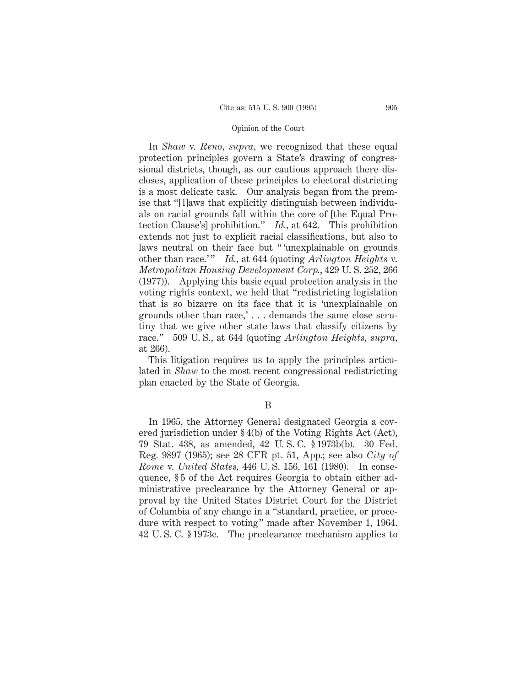In *Shaw* v. *Reno, supra,* we recognized that these equal protection principles govern a State's drawing of congressional districts, though, as our cautious approach there discloses, application of these principles to electoral districting is a most delicate task. Our analysis began from the premise that "[l]aws that explicitly distinguish between individuals on racial grounds fall within the core of [the Equal Protection Clause's] prohibition." *Id.,* at 642. This prohibition extends not just to explicit racial classifications, but also to laws neutral on their face but "'unexplainable on grounds other than race.'" *Id.*, at 644 (quoting *Arlington Heights* v. *Metropolitan Housing Development Corp.*, 429 U. S. 252, 266 (1977)). Applying this basic equal protection analysis in the voting rights context, we held that "redistricting legislation that is so bizarre on its face that it is 'unexplainable on grounds other than race,' . . . demands the same close scrutiny that we give other state laws that classify citizens by race." 509 U. S., at 644 (quoting *Arlington Heights, supra,* at 266).

This litigation requires us to apply the principles articulated in *Shaw* to the most recent congressional redistricting plan enacted by the State of Georgia.

B

In 1965, the Attorney General designated Georgia a covered jurisdiction under § 4(b) of the Voting Rights Act (Act), 79 Stat. 438, as amended, 42 U. S. C. § 1973b(b). 30 Fed. Reg. 9897 (1965); see 28 CFR pt. 51, App.; see also *City of Rome* v. *United States,* 446 U. S. 156, 161 (1980). In consequence, § 5 of the Act requires Georgia to obtain either administrative preclearance by the Attorney General or approval by the United States District Court for the District of Columbia of any change in a "standard, practice, or procedure with respect to voting" made after November 1, 1964. 42 U. S. C. § 1973c. The preclearance mechanism applies to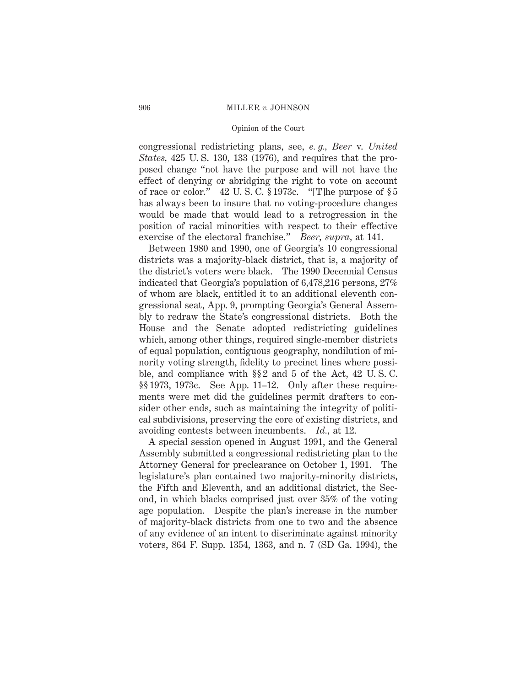congressional redistricting plans, see, *e. g., Beer* v. *United States,* 425 U. S. 130, 133 (1976), and requires that the proposed change "not have the purpose and will not have the effect of denying or abridging the right to vote on account of race or color." 42 U. S. C. § 1973c. "[T]he purpose of § 5 has always been to insure that no voting-procedure changes would be made that would lead to a retrogression in the position of racial minorities with respect to their effective exercise of the electoral franchise." *Beer, supra,* at 141.

Between 1980 and 1990, one of Georgia's 10 congressional districts was a majority-black district, that is, a majority of the district's voters were black. The 1990 Decennial Census indicated that Georgia's population of 6,478,216 persons, 27% of whom are black, entitled it to an additional eleventh congressional seat, App. 9, prompting Georgia's General Assembly to redraw the State's congressional districts. Both the House and the Senate adopted redistricting guidelines which, among other things, required single-member districts of equal population, contiguous geography, nondilution of minority voting strength, fidelity to precinct lines where possible, and compliance with §§ 2 and 5 of the Act, 42 U. S. C. §§ 1973, 1973c. See App. 11–12. Only after these requirements were met did the guidelines permit drafters to consider other ends, such as maintaining the integrity of political subdivisions, preserving the core of existing districts, and avoiding contests between incumbents. *Id.,* at 12.

A special session opened in August 1991, and the General Assembly submitted a congressional redistricting plan to the Attorney General for preclearance on October 1, 1991. The legislature's plan contained two majority-minority districts, the Fifth and Eleventh, and an additional district, the Second, in which blacks comprised just over 35% of the voting age population. Despite the plan's increase in the number of majority-black districts from one to two and the absence of any evidence of an intent to discriminate against minority voters, 864 F. Supp. 1354, 1363, and n. 7 (SD Ga. 1994), the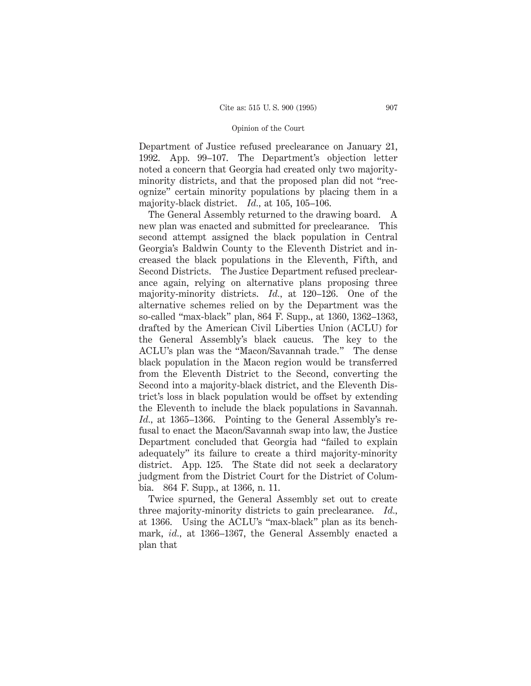Department of Justice refused preclearance on January 21, 1992. App. 99–107. The Department's objection letter noted a concern that Georgia had created only two majorityminority districts, and that the proposed plan did not "recognize" certain minority populations by placing them in a majority-black district. *Id.,* at 105, 105–106.

The General Assembly returned to the drawing board. A new plan was enacted and submitted for preclearance. This second attempt assigned the black population in Central Georgia's Baldwin County to the Eleventh District and increased the black populations in the Eleventh, Fifth, and Second Districts. The Justice Department refused preclearance again, relying on alternative plans proposing three majority-minority districts. *Id.,* at 120–126. One of the alternative schemes relied on by the Department was the so-called "max-black" plan, 864 F. Supp., at 1360, 1362–1363, drafted by the American Civil Liberties Union (ACLU) for the General Assembly's black caucus. The key to the ACLU's plan was the "Macon/Savannah trade." The dense black population in the Macon region would be transferred from the Eleventh District to the Second, converting the Second into a majority-black district, and the Eleventh District's loss in black population would be offset by extending the Eleventh to include the black populations in Savannah. *Id.,* at 1365–1366. Pointing to the General Assembly's refusal to enact the Macon/Savannah swap into law, the Justice Department concluded that Georgia had "failed to explain adequately" its failure to create a third majority-minority district. App. 125. The State did not seek a declaratory judgment from the District Court for the District of Columbia. 864 F. Supp., at 1366, n. 11.

Twice spurned, the General Assembly set out to create three majority-minority districts to gain preclearance. *Id.,* at 1366. Using the ACLU's "max-black" plan as its benchmark, *id.,* at 1366–1367, the General Assembly enacted a plan that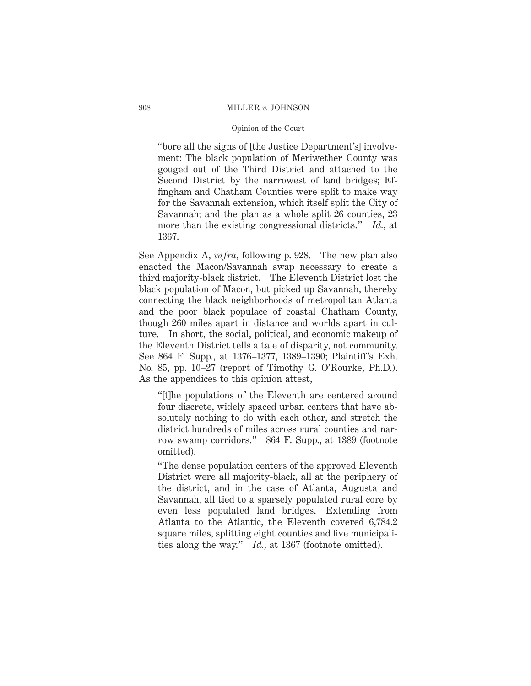"bore all the signs of [the Justice Department's] involvement: The black population of Meriwether County was gouged out of the Third District and attached to the Second District by the narrowest of land bridges; Effingham and Chatham Counties were split to make way for the Savannah extension, which itself split the City of Savannah; and the plan as a whole split 26 counties, 23 more than the existing congressional districts." *Id.,* at 1367.

See Appendix A, *infra,* following p. 928. The new plan also enacted the Macon/Savannah swap necessary to create a third majority-black district. The Eleventh District lost the black population of Macon, but picked up Savannah, thereby connecting the black neighborhoods of metropolitan Atlanta and the poor black populace of coastal Chatham County, though 260 miles apart in distance and worlds apart in culture. In short, the social, political, and economic makeup of the Eleventh District tells a tale of disparity, not community. See 864 F. Supp., at 1376–1377, 1389–1390; Plaintiff's Exh. No. 85, pp. 10–27 (report of Timothy G. O'Rourke, Ph.D.). As the appendices to this opinion attest,

"[t]he populations of the Eleventh are centered around four discrete, widely spaced urban centers that have absolutely nothing to do with each other, and stretch the district hundreds of miles across rural counties and narrow swamp corridors." 864 F. Supp., at 1389 (footnote omitted).

"The dense population centers of the approved Eleventh District were all majority-black, all at the periphery of the district, and in the case of Atlanta, Augusta and Savannah, all tied to a sparsely populated rural core by even less populated land bridges. Extending from Atlanta to the Atlantic, the Eleventh covered 6,784.2 square miles, splitting eight counties and five municipalities along the way." *Id.,* at 1367 (footnote omitted).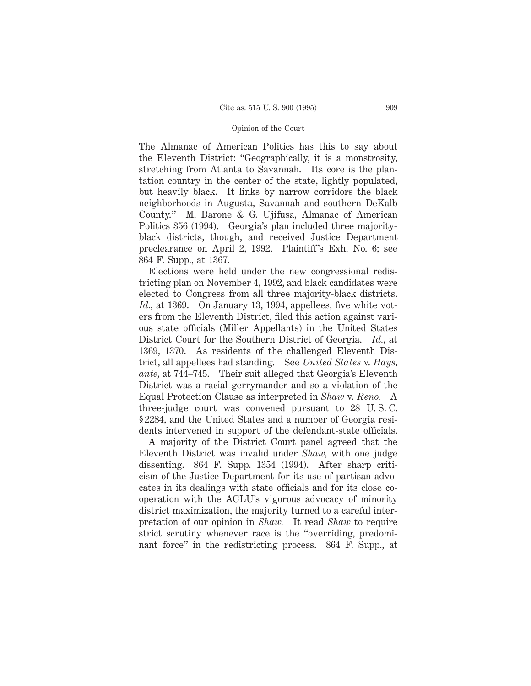The Almanac of American Politics has this to say about the Eleventh District: "Geographically, it is a monstrosity, stretching from Atlanta to Savannah. Its core is the plantation country in the center of the state, lightly populated, but heavily black. It links by narrow corridors the black neighborhoods in Augusta, Savannah and southern DeKalb County." M. Barone & G. Ujifusa, Almanac of American Politics 356 (1994). Georgia's plan included three majorityblack districts, though, and received Justice Department preclearance on April 2, 1992. Plaintiff's Exh. No. 6; see 864 F. Supp., at 1367.

Elections were held under the new congressional redistricting plan on November 4, 1992, and black candidates were elected to Congress from all three majority-black districts. *Id.,* at 1369. On January 13, 1994, appellees, five white voters from the Eleventh District, filed this action against various state officials (Miller Appellants) in the United States District Court for the Southern District of Georgia. *Id.,* at 1369, 1370. As residents of the challenged Eleventh District, all appellees had standing. See *United States* v. *Hays, ante,* at 744–745. Their suit alleged that Georgia's Eleventh District was a racial gerrymander and so a violation of the Equal Protection Clause as interpreted in *Shaw* v. *Reno.* A three-judge court was convened pursuant to 28 U. S. C. § 2284, and the United States and a number of Georgia residents intervened in support of the defendant-state officials.

A majority of the District Court panel agreed that the Eleventh District was invalid under *Shaw,* with one judge dissenting. 864 F. Supp. 1354 (1994). After sharp criticism of the Justice Department for its use of partisan advocates in its dealings with state officials and for its close cooperation with the ACLU's vigorous advocacy of minority district maximization, the majority turned to a careful interpretation of our opinion in *Shaw.* It read *Shaw* to require strict scrutiny whenever race is the "overriding, predominant force" in the redistricting process. 864 F. Supp., at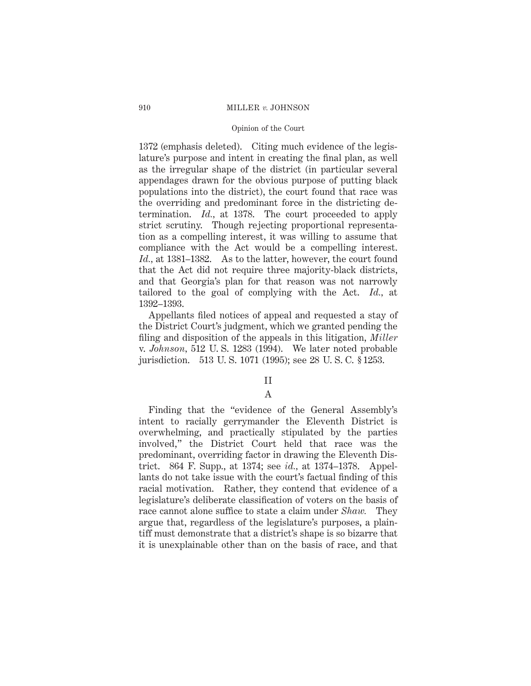#### 910 MILLER *v.* JOHNSON

#### Opinion of the Court

1372 (emphasis deleted). Citing much evidence of the legislature's purpose and intent in creating the final plan, as well as the irregular shape of the district (in particular several appendages drawn for the obvious purpose of putting black populations into the district), the court found that race was the overriding and predominant force in the districting determination. *Id.,* at 1378. The court proceeded to apply strict scrutiny. Though rejecting proportional representation as a compelling interest, it was willing to assume that compliance with the Act would be a compelling interest. *Id.,* at 1381–1382. As to the latter, however, the court found that the Act did not require three majority-black districts, and that Georgia's plan for that reason was not narrowly tailored to the goal of complying with the Act. *Id.,* at 1392–1393.

Appellants filed notices of appeal and requested a stay of the District Court's judgment, which we granted pending the filing and disposition of the appeals in this litigation, *Miller* v. *Johnson,* 512 U. S. 1283 (1994). We later noted probable jurisdiction. 513 U. S. 1071 (1995); see 28 U. S. C. § 1253.

# II

# A

Finding that the "evidence of the General Assembly's intent to racially gerrymander the Eleventh District is overwhelming, and practically stipulated by the parties involved," the District Court held that race was the predominant, overriding factor in drawing the Eleventh District. 864 F. Supp., at 1374; see *id.,* at 1374–1378. Appellants do not take issue with the court's factual finding of this racial motivation. Rather, they contend that evidence of a legislature's deliberate classification of voters on the basis of race cannot alone suffice to state a claim under *Shaw.* They argue that, regardless of the legislature's purposes, a plaintiff must demonstrate that a district's shape is so bizarre that it is unexplainable other than on the basis of race, and that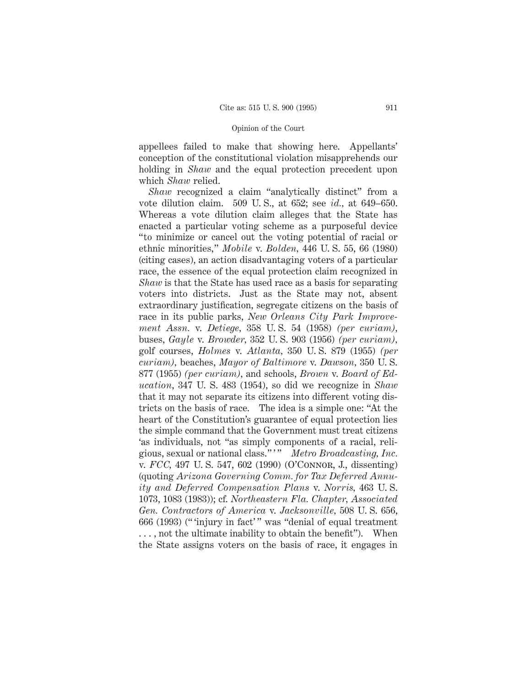appellees failed to make that showing here. Appellants' conception of the constitutional violation misapprehends our holding in *Shaw* and the equal protection precedent upon which *Shaw* relied.

*Shaw* recognized a claim "analytically distinct" from a vote dilution claim. 509 U. S., at 652; see *id.,* at 649–650. Whereas a vote dilution claim alleges that the State has enacted a particular voting scheme as a purposeful device "to minimize or cancel out the voting potential of racial or ethnic minorities," *Mobile* v. *Bolden,* 446 U. S. 55, 66 (1980) (citing cases), an action disadvantaging voters of a particular race, the essence of the equal protection claim recognized in *Shaw* is that the State has used race as a basis for separating voters into districts. Just as the State may not, absent extraordinary justification, segregate citizens on the basis of race in its public parks, *New Orleans City Park Improvement Assn.* v. *Detiege,* 358 U. S. 54 (1958) *(per curiam),* buses, *Gayle* v. *Browder,* 352 U. S. 903 (1956) *(per curiam),* golf courses, *Holmes* v. *Atlanta,* 350 U. S. 879 (1955) *(per curiam),* beaches, *Mayor of Baltimore* v. *Dawson,* 350 U. S. 877 (1955) *(per curiam),* and schools, *Brown* v. *Board of Education*, 347 U. S. 483 (1954), so did we recognize in *Shaw* that it may not separate its citizens into different voting districts on the basis of race. The idea is a simple one: "At the heart of the Constitution's guarantee of equal protection lies the simple command that the Government must treat citizens 'as individuals, not "as simply components of a racial, religious, sexual or national class." ' " *Metro Broadcasting, Inc.* v. *FCC,* 497 U. S. 547, 602 (1990) (O'Connor, J., dissenting) (quoting *Arizona Governing Comm. for Tax Deferred Annuity and Deferred Compensation Plans* v. *Norris,* 463 U. S. 1073, 1083 (1983)); cf. *Northeastern Fla. Chapter, Associated Gen. Contractors of America* v. *Jacksonville,* 508 U. S. 656, 666 (1993) (" 'injury in fact' " was "denial of equal treatment . . . , not the ultimate inability to obtain the benefit"). When the State assigns voters on the basis of race, it engages in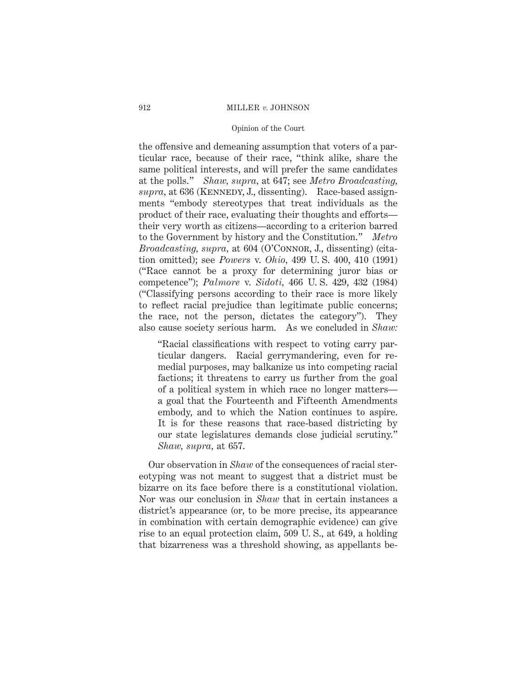the offensive and demeaning assumption that voters of a particular race, because of their race, "think alike, share the same political interests, and will prefer the same candidates at the polls." *Shaw, supra,* at 647; see *Metro Broadcasting, supra*, at 636 (KENNEDY, J., dissenting). Race-based assignments "embody stereotypes that treat individuals as the product of their race, evaluating their thoughts and efforts their very worth as citizens—according to a criterion barred to the Government by history and the Constitution." *Metro Broadcasting, supra, at 604 (O'CONNOR, J., dissenting)* (citation omitted); see *Powers* v. *Ohio,* 499 U. S. 400, 410 (1991) ("Race cannot be a proxy for determining juror bias or competence"); *Palmore* v. *Sidoti,* 466 U. S. 429, 432 (1984) ("Classifying persons according to their race is more likely to reflect racial prejudice than legitimate public concerns; the race, not the person, dictates the category"). They also cause society serious harm. As we concluded in *Shaw:*

"Racial classifications with respect to voting carry particular dangers. Racial gerrymandering, even for remedial purposes, may balkanize us into competing racial factions; it threatens to carry us further from the goal of a political system in which race no longer matters a goal that the Fourteenth and Fifteenth Amendments embody, and to which the Nation continues to aspire. It is for these reasons that race-based districting by our state legislatures demands close judicial scrutiny." *Shaw, supra,* at 657.

Our observation in *Shaw* of the consequences of racial stereotyping was not meant to suggest that a district must be bizarre on its face before there is a constitutional violation. Nor was our conclusion in *Shaw* that in certain instances a district's appearance (or, to be more precise, its appearance in combination with certain demographic evidence) can give rise to an equal protection claim, 509 U. S., at 649, a holding that bizarreness was a threshold showing, as appellants be-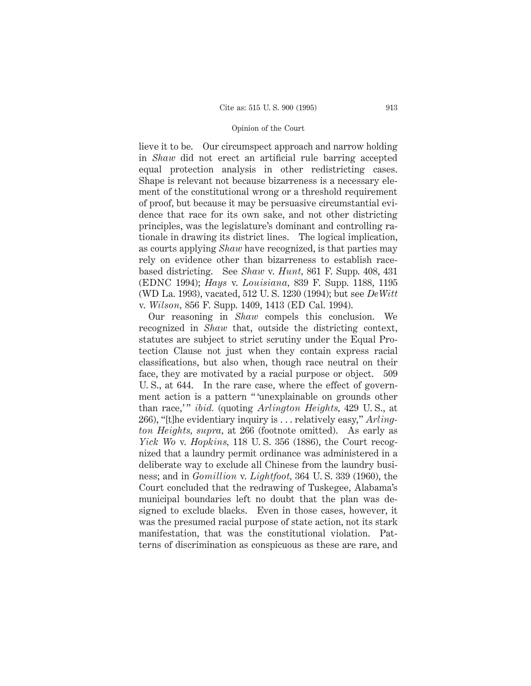lieve it to be. Our circumspect approach and narrow holding in *Shaw* did not erect an artificial rule barring accepted equal protection analysis in other redistricting cases. Shape is relevant not because bizarreness is a necessary element of the constitutional wrong or a threshold requirement of proof, but because it may be persuasive circumstantial evidence that race for its own sake, and not other districting principles, was the legislature's dominant and controlling rationale in drawing its district lines. The logical implication, as courts applying *Shaw* have recognized, is that parties may rely on evidence other than bizarreness to establish racebased districting. See *Shaw* v. *Hunt,* 861 F. Supp. 408, 431 (EDNC 1994); *Hays* v. *Louisiana,* 839 F. Supp. 1188, 1195 (WD La. 1993), vacated, 512 U. S. 1230 (1994); but see *DeWitt* v. *Wilson,* 856 F. Supp. 1409, 1413 (ED Cal. 1994).

Our reasoning in *Shaw* compels this conclusion. We recognized in *Shaw* that, outside the districting context, statutes are subject to strict scrutiny under the Equal Protection Clause not just when they contain express racial classifications, but also when, though race neutral on their face, they are motivated by a racial purpose or object. 509 U. S., at 644. In the rare case, where the effect of government action is a pattern "'unexplainable on grounds other than race,' " *ibid.* (quoting *Arlington Heights,* 429 U. S., at 266), "[t]he evidentiary inquiry is . . . relatively easy," *Arlington Heights, supra,* at 266 (footnote omitted). As early as *Yick Wo* v. *Hopkins,* 118 U. S. 356 (1886), the Court recognized that a laundry permit ordinance was administered in a deliberate way to exclude all Chinese from the laundry business; and in *Gomillion* v. *Lightfoot,* 364 U. S. 339 (1960), the Court concluded that the redrawing of Tuskegee, Alabama's municipal boundaries left no doubt that the plan was designed to exclude blacks. Even in those cases, however, it was the presumed racial purpose of state action, not its stark manifestation, that was the constitutional violation. Patterns of discrimination as conspicuous as these are rare, and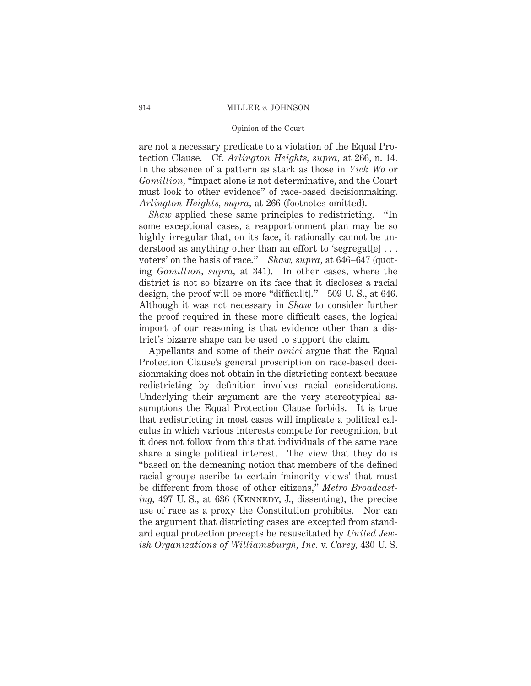are not a necessary predicate to a violation of the Equal Protection Clause. Cf. *Arlington Heights, supra,* at 266, n. 14. In the absence of a pattern as stark as those in *Yick Wo* or *Gomillion,* "impact alone is not determinative, and the Court must look to other evidence" of race-based decisionmaking. *Arlington Heights, supra,* at 266 (footnotes omitted).

*Shaw* applied these same principles to redistricting. "In some exceptional cases, a reapportionment plan may be so highly irregular that, on its face, it rationally cannot be understood as anything other than an effort to 'segregate... voters' on the basis of race." *Shaw, supra,* at 646–647 (quoting *Gomillion, supra,* at 341). In other cases, where the district is not so bizarre on its face that it discloses a racial design, the proof will be more "difficul[t]." 509 U. S., at 646. Although it was not necessary in *Shaw* to consider further the proof required in these more difficult cases, the logical import of our reasoning is that evidence other than a district's bizarre shape can be used to support the claim.

Appellants and some of their *amici* argue that the Equal Protection Clause's general proscription on race-based decisionmaking does not obtain in the districting context because redistricting by definition involves racial considerations. Underlying their argument are the very stereotypical assumptions the Equal Protection Clause forbids. It is true that redistricting in most cases will implicate a political calculus in which various interests compete for recognition, but it does not follow from this that individuals of the same race share a single political interest. The view that they do is "based on the demeaning notion that members of the defined racial groups ascribe to certain 'minority views' that must be different from those of other citizens," *Metro Broadcasting,* 497 U.S., at 636 (KENNEDY, J., dissenting), the precise use of race as a proxy the Constitution prohibits. Nor can the argument that districting cases are excepted from standard equal protection precepts be resuscitated by *United Jewish Organizations of Williamsburgh, Inc.* v. *Carey,* 430 U. S.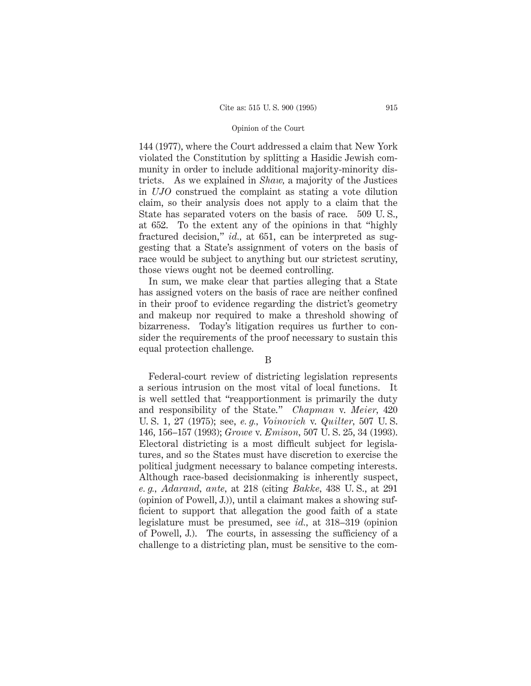144 (1977), where the Court addressed a claim that New York violated the Constitution by splitting a Hasidic Jewish community in order to include additional majority-minority districts. As we explained in *Shaw,* a majority of the Justices in *UJO* construed the complaint as stating a vote dilution claim, so their analysis does not apply to a claim that the State has separated voters on the basis of race. 509 U. S., at 652. To the extent any of the opinions in that "highly fractured decision," *id.,* at 651, can be interpreted as suggesting that a State's assignment of voters on the basis of race would be subject to anything but our strictest scrutiny, those views ought not be deemed controlling.

In sum, we make clear that parties alleging that a State has assigned voters on the basis of race are neither confined in their proof to evidence regarding the district's geometry and makeup nor required to make a threshold showing of bizarreness. Today's litigation requires us further to consider the requirements of the proof necessary to sustain this equal protection challenge.

### B

Federal-court review of districting legislation represents a serious intrusion on the most vital of local functions. It is well settled that "reapportionment is primarily the duty and responsibility of the State." *Chapman* v. *Meier,* 420 U. S. 1, 27 (1975); see, *e. g., Voinovich* v. *Quilter,* 507 U. S. 146, 156–157 (1993); *Growe* v. *Emison,* 507 U. S. 25, 34 (1993). Electoral districting is a most difficult subject for legislatures, and so the States must have discretion to exercise the political judgment necessary to balance competing interests. Although race-based decisionmaking is inherently suspect, *e. g., Adarand, ante,* at 218 (citing *Bakke,* 438 U. S., at 291 (opinion of Powell, J.)), until a claimant makes a showing sufficient to support that allegation the good faith of a state legislature must be presumed, see *id.,* at 318–319 (opinion of Powell, J.). The courts, in assessing the sufficiency of a challenge to a districting plan, must be sensitive to the com-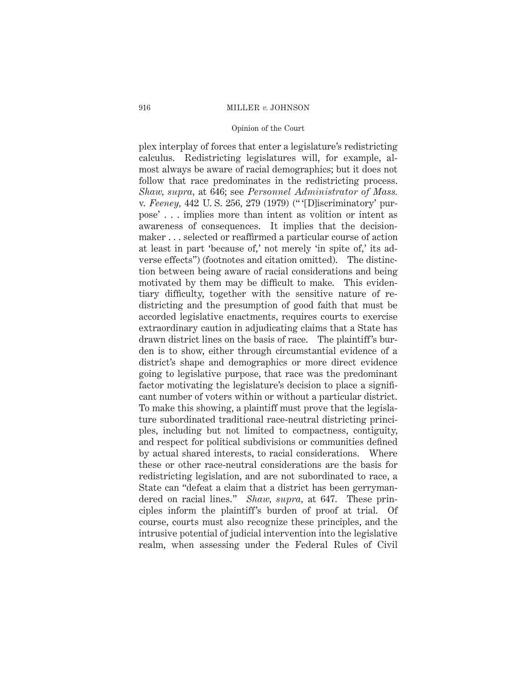#### 916 MILLER *v.* JOHNSON

### Opinion of the Court

plex interplay of forces that enter a legislature's redistricting calculus. Redistricting legislatures will, for example, almost always be aware of racial demographics; but it does not follow that race predominates in the redistricting process. *Shaw, supra,* at 646; see *Personnel Administrator of Mass.* v. *Feeney,* 442 U. S. 256, 279 (1979) (" '[D]iscriminatory' purpose' . . . implies more than intent as volition or intent as awareness of consequences. It implies that the decisionmaker . . . selected or reaffirmed a particular course of action at least in part 'because of,' not merely 'in spite of,' its adverse effects") (footnotes and citation omitted). The distinction between being aware of racial considerations and being motivated by them may be difficult to make. This evidentiary difficulty, together with the sensitive nature of redistricting and the presumption of good faith that must be accorded legislative enactments, requires courts to exercise extraordinary caution in adjudicating claims that a State has drawn district lines on the basis of race. The plaintiff's burden is to show, either through circumstantial evidence of a district's shape and demographics or more direct evidence going to legislative purpose, that race was the predominant factor motivating the legislature's decision to place a significant number of voters within or without a particular district. To make this showing, a plaintiff must prove that the legislature subordinated traditional race-neutral districting principles, including but not limited to compactness, contiguity, and respect for political subdivisions or communities defined by actual shared interests, to racial considerations. Where these or other race-neutral considerations are the basis for redistricting legislation, and are not subordinated to race, a State can "defeat a claim that a district has been gerrymandered on racial lines." *Shaw, supra,* at 647. These principles inform the plaintiff's burden of proof at trial. Of course, courts must also recognize these principles, and the intrusive potential of judicial intervention into the legislative realm, when assessing under the Federal Rules of Civil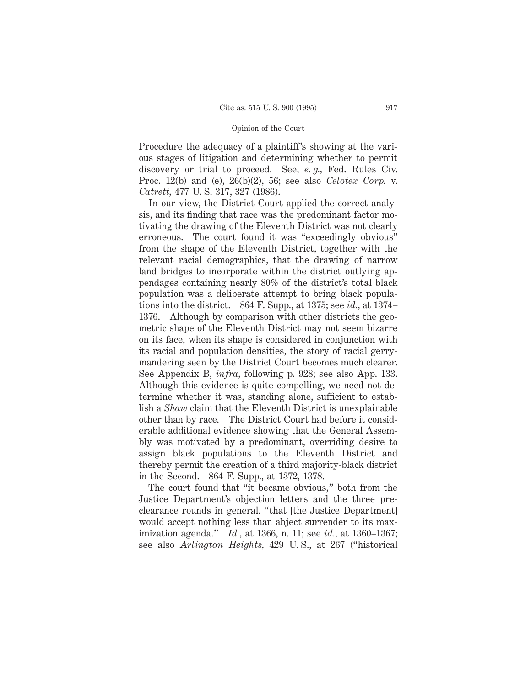Procedure the adequacy of a plaintiff's showing at the various stages of litigation and determining whether to permit discovery or trial to proceed. See, *e. g.,* Fed. Rules Civ. Proc. 12(b) and (e), 26(b)(2), 56; see also *Celotex Corp.* v. *Catrett,* 477 U. S. 317, 327 (1986).

In our view, the District Court applied the correct analysis, and its finding that race was the predominant factor motivating the drawing of the Eleventh District was not clearly erroneous. The court found it was "exceedingly obvious" from the shape of the Eleventh District, together with the relevant racial demographics, that the drawing of narrow land bridges to incorporate within the district outlying appendages containing nearly 80% of the district's total black population was a deliberate attempt to bring black populations into the district. 864 F. Supp., at 1375; see *id.,* at 1374– 1376. Although by comparison with other districts the geometric shape of the Eleventh District may not seem bizarre on its face, when its shape is considered in conjunction with its racial and population densities, the story of racial gerrymandering seen by the District Court becomes much clearer. See Appendix B, *infra,* following p. 928; see also App. 133. Although this evidence is quite compelling, we need not determine whether it was, standing alone, sufficient to establish a *Shaw* claim that the Eleventh District is unexplainable other than by race. The District Court had before it considerable additional evidence showing that the General Assembly was motivated by a predominant, overriding desire to assign black populations to the Eleventh District and thereby permit the creation of a third majority-black district in the Second. 864 F. Supp., at 1372, 1378.

The court found that "it became obvious," both from the Justice Department's objection letters and the three preclearance rounds in general, "that [the Justice Department] would accept nothing less than abject surrender to its maximization agenda." *Id.,* at 1366, n. 11; see *id.,* at 1360–1367; see also *Arlington Heights,* 429 U. S., at 267 ("historical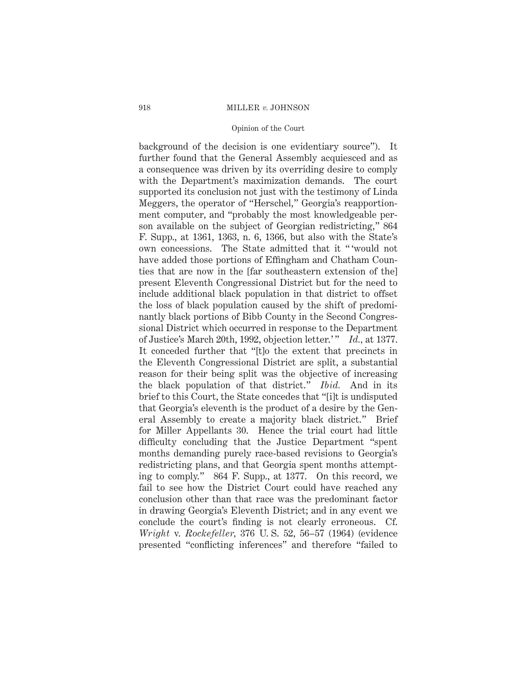background of the decision is one evidentiary source"). It further found that the General Assembly acquiesced and as a consequence was driven by its overriding desire to comply with the Department's maximization demands. The court supported its conclusion not just with the testimony of Linda Meggers, the operator of "Herschel," Georgia's reapportionment computer, and "probably the most knowledgeable person available on the subject of Georgian redistricting," 864 F. Supp., at 1361, 1363, n. 6, 1366, but also with the State's own concessions. The State admitted that it " 'would not have added those portions of Effingham and Chatham Counties that are now in the [far southeastern extension of the] present Eleventh Congressional District but for the need to include additional black population in that district to offset the loss of black population caused by the shift of predominantly black portions of Bibb County in the Second Congressional District which occurred in response to the Department of Justice's March 20th, 1992, objection letter.' " *Id.,* at 1377. It conceded further that "[t]o the extent that precincts in the Eleventh Congressional District are split, a substantial reason for their being split was the objective of increasing the black population of that district." *Ibid.* And in its brief to this Court, the State concedes that "[i]t is undisputed that Georgia's eleventh is the product of a desire by the General Assembly to create a majority black district." Brief for Miller Appellants 30. Hence the trial court had little difficulty concluding that the Justice Department "spent months demanding purely race-based revisions to Georgia's redistricting plans, and that Georgia spent months attempting to comply." 864 F. Supp., at 1377. On this record, we fail to see how the District Court could have reached any conclusion other than that race was the predominant factor in drawing Georgia's Eleventh District; and in any event we conclude the court's finding is not clearly erroneous. Cf. *Wright* v. *Rockefeller,* 376 U. S. 52, 56–57 (1964) (evidence presented "conflicting inferences" and therefore "failed to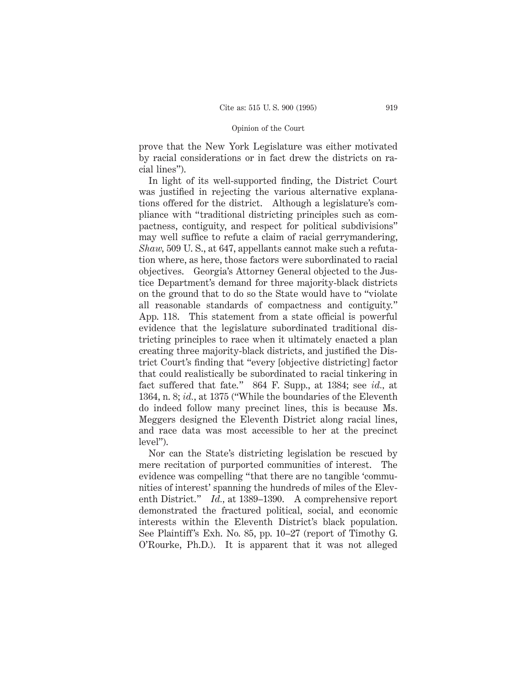prove that the New York Legislature was either motivated by racial considerations or in fact drew the districts on racial lines").

In light of its well-supported finding, the District Court was justified in rejecting the various alternative explanations offered for the district. Although a legislature's compliance with "traditional districting principles such as compactness, contiguity, and respect for political subdivisions" may well suffice to refute a claim of racial gerrymandering, *Shaw,* 509 U. S., at 647, appellants cannot make such a refutation where, as here, those factors were subordinated to racial objectives. Georgia's Attorney General objected to the Justice Department's demand for three majority-black districts on the ground that to do so the State would have to "violate all reasonable standards of compactness and contiguity." App. 118. This statement from a state official is powerful evidence that the legislature subordinated traditional districting principles to race when it ultimately enacted a plan creating three majority-black districts, and justified the District Court's finding that "every [objective districting] factor that could realistically be subordinated to racial tinkering in fact suffered that fate." 864 F. Supp., at 1384; see *id.,* at 1364, n. 8; *id.*, at 1375 ("While the boundaries of the Eleventh do indeed follow many precinct lines, this is because Ms. Meggers designed the Eleventh District along racial lines, and race data was most accessible to her at the precinct level").

Nor can the State's districting legislation be rescued by mere recitation of purported communities of interest. The evidence was compelling "that there are no tangible 'communities of interest' spanning the hundreds of miles of the Eleventh District." *Id.,* at 1389–1390. A comprehensive report demonstrated the fractured political, social, and economic interests within the Eleventh District's black population. See Plaintiff's Exh. No. 85, pp. 10–27 (report of Timothy G. O'Rourke, Ph.D.). It is apparent that it was not alleged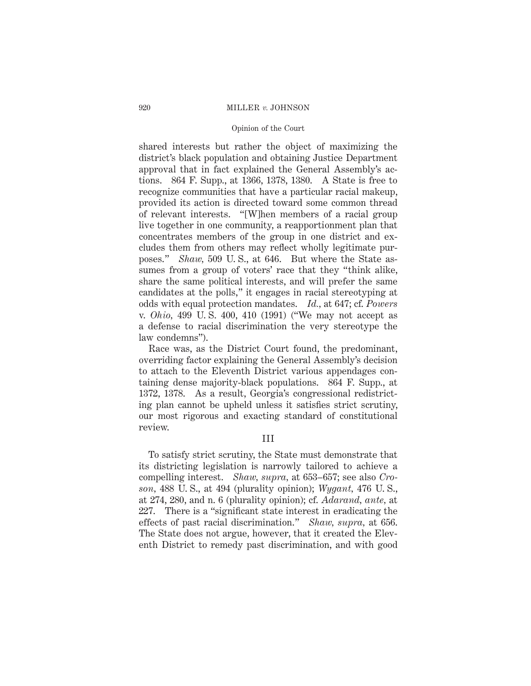shared interests but rather the object of maximizing the district's black population and obtaining Justice Department approval that in fact explained the General Assembly's actions. 864 F. Supp., at 1366, 1378, 1380. A State is free to recognize communities that have a particular racial makeup, provided its action is directed toward some common thread of relevant interests. "[W]hen members of a racial group live together in one community, a reapportionment plan that concentrates members of the group in one district and excludes them from others may reflect wholly legitimate purposes." *Shaw,* 509 U. S., at 646. But where the State assumes from a group of voters' race that they "think alike, share the same political interests, and will prefer the same candidates at the polls," it engages in racial stereotyping at odds with equal protection mandates. *Id.,* at 647; cf. *Powers* v. *Ohio,* 499 U. S. 400, 410 (1991) ("We may not accept as a defense to racial discrimination the very stereotype the law condemns").

Race was, as the District Court found, the predominant, overriding factor explaining the General Assembly's decision to attach to the Eleventh District various appendages containing dense majority-black populations. 864 F. Supp., at 1372, 1378. As a result, Georgia's congressional redistricting plan cannot be upheld unless it satisfies strict scrutiny, our most rigorous and exacting standard of constitutional review.

## III

To satisfy strict scrutiny, the State must demonstrate that its districting legislation is narrowly tailored to achieve a compelling interest. *Shaw, supra,* at 653–657; see also *Croson,* 488 U. S., at 494 (plurality opinion); *Wygant,* 476 U. S., at 274, 280, and n. 6 (plurality opinion); cf. *Adarand, ante,* at 227. There is a "significant state interest in eradicating the effects of past racial discrimination." *Shaw, supra,* at 656. The State does not argue, however, that it created the Eleventh District to remedy past discrimination, and with good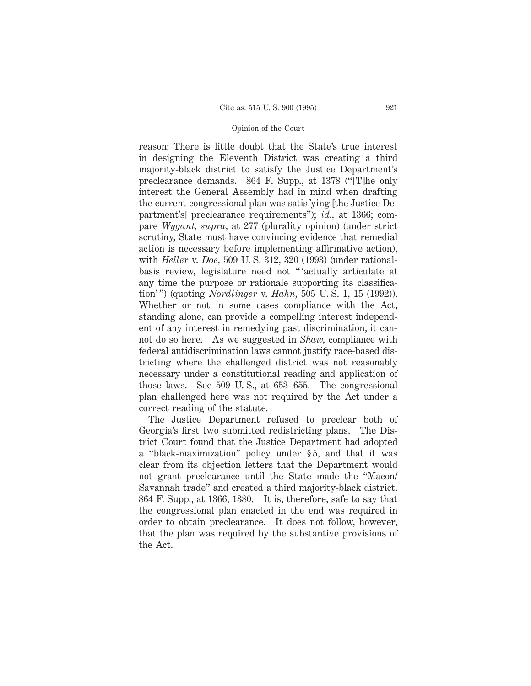reason: There is little doubt that the State's true interest in designing the Eleventh District was creating a third majority-black district to satisfy the Justice Department's preclearance demands. 864 F. Supp., at 1378 ("[T]he only interest the General Assembly had in mind when drafting the current congressional plan was satisfying [the Justice Department's] preclearance requirements"); *id.,* at 1366; compare *Wygant, supra,* at 277 (plurality opinion) (under strict scrutiny, State must have convincing evidence that remedial action is necessary before implementing affirmative action), with *Heller* v. *Doe,* 509 U. S. 312, 320 (1993) (under rationalbasis review, legislature need not " 'actually articulate at any time the purpose or rationale supporting its classification' ") (quoting *Nordlinger* v. *Hahn,* 505 U. S. 1, 15 (1992)). Whether or not in some cases compliance with the Act, standing alone, can provide a compelling interest independent of any interest in remedying past discrimination, it cannot do so here. As we suggested in *Shaw,* compliance with federal antidiscrimination laws cannot justify race-based districting where the challenged district was not reasonably necessary under a constitutional reading and application of those laws. See 509 U. S., at 653–655. The congressional plan challenged here was not required by the Act under a correct reading of the statute.

The Justice Department refused to preclear both of Georgia's first two submitted redistricting plans. The District Court found that the Justice Department had adopted a "black-maximization" policy under § 5, and that it was clear from its objection letters that the Department would not grant preclearance until the State made the "Macon/ Savannah trade" and created a third majority-black district. 864 F. Supp., at 1366, 1380. It is, therefore, safe to say that the congressional plan enacted in the end was required in order to obtain preclearance. It does not follow, however, that the plan was required by the substantive provisions of the Act.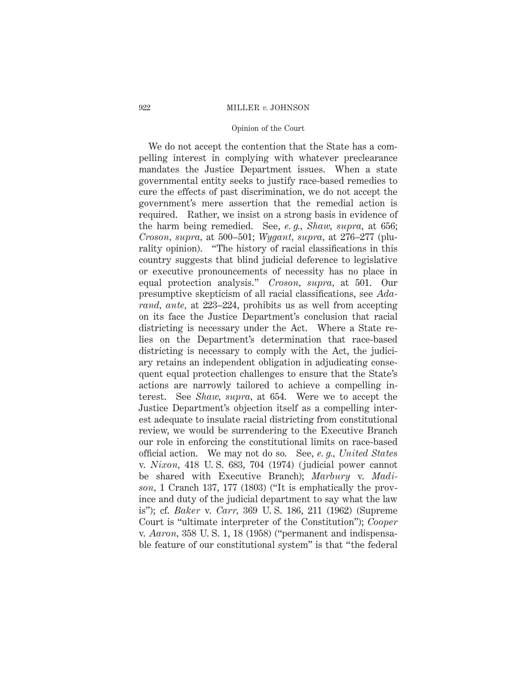#### 922 MILLER *v.* JOHNSON

#### Opinion of the Court

We do not accept the contention that the State has a compelling interest in complying with whatever preclearance mandates the Justice Department issues. When a state governmental entity seeks to justify race-based remedies to cure the effects of past discrimination, we do not accept the government's mere assertion that the remedial action is required. Rather, we insist on a strong basis in evidence of the harm being remedied. See, *e. g., Shaw, supra,* at 656; *Croson, supra,* at 500–501; *Wygant, supra,* at 276–277 (plurality opinion). "The history of racial classifications in this country suggests that blind judicial deference to legislative or executive pronouncements of necessity has no place in equal protection analysis." *Croson, supra,* at 501. Our presumptive skepticism of all racial classifications, see *Adarand, ante,* at 223–224, prohibits us as well from accepting on its face the Justice Department's conclusion that racial districting is necessary under the Act. Where a State relies on the Department's determination that race-based districting is necessary to comply with the Act, the judiciary retains an independent obligation in adjudicating consequent equal protection challenges to ensure that the State's actions are narrowly tailored to achieve a compelling interest. See *Shaw, supra,* at 654. Were we to accept the Justice Department's objection itself as a compelling interest adequate to insulate racial districting from constitutional review, we would be surrendering to the Executive Branch our role in enforcing the constitutional limits on race-based official action. We may not do so. See, *e. g., United States* v. *Nixon,* 418 U. S. 683, 704 (1974) (judicial power cannot be shared with Executive Branch); *Marbury* v. *Madison,* 1 Cranch 137, 177 (1803) ("It is emphatically the province and duty of the judicial department to say what the law is"); cf. *Baker* v. *Carr,* 369 U. S. 186, 211 (1962) (Supreme Court is "ultimate interpreter of the Constitution"); *Cooper* v. *Aaron,* 358 U. S. 1, 18 (1958) ("permanent and indispensable feature of our constitutional system" is that "the federal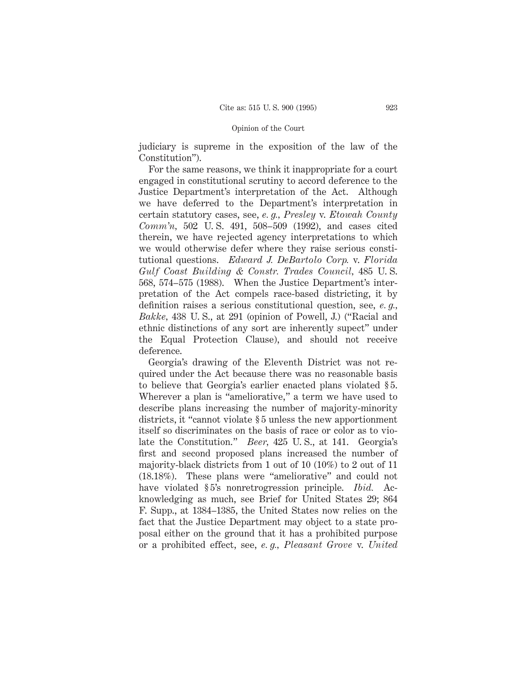judiciary is supreme in the exposition of the law of the Constitution").

For the same reasons, we think it inappropriate for a court engaged in constitutional scrutiny to accord deference to the Justice Department's interpretation of the Act. Although we have deferred to the Department's interpretation in certain statutory cases, see, *e. g., Presley* v. *Etowah County Comm'n,* 502 U. S. 491, 508–509 (1992), and cases cited therein, we have rejected agency interpretations to which we would otherwise defer where they raise serious constitutional questions. *Edward J. DeBartolo Corp.* v. *Florida Gulf Coast Building & Constr. Trades Council,* 485 U. S. 568, 574–575 (1988). When the Justice Department's interpretation of the Act compels race-based districting, it by definition raises a serious constitutional question, see, *e. g., Bakke,* 438 U. S., at 291 (opinion of Powell, J.) ("Racial and ethnic distinctions of any sort are inherently supect" under the Equal Protection Clause), and should not receive deference.

Georgia's drawing of the Eleventh District was not required under the Act because there was no reasonable basis to believe that Georgia's earlier enacted plans violated § 5. Wherever a plan is "ameliorative," a term we have used to describe plans increasing the number of majority-minority districts, it "cannot violate § 5 unless the new apportionment itself so discriminates on the basis of race or color as to violate the Constitution." *Beer,* 425 U. S., at 141. Georgia's first and second proposed plans increased the number of majority-black districts from 1 out of 10 (10%) to 2 out of 11 (18.18%). These plans were "ameliorative" and could not have violated §5's nonretrogression principle. *Ibid.* Acknowledging as much, see Brief for United States 29; 864 F. Supp., at 1384–1385, the United States now relies on the fact that the Justice Department may object to a state proposal either on the ground that it has a prohibited purpose or a prohibited effect, see, *e. g., Pleasant Grove* v. *United*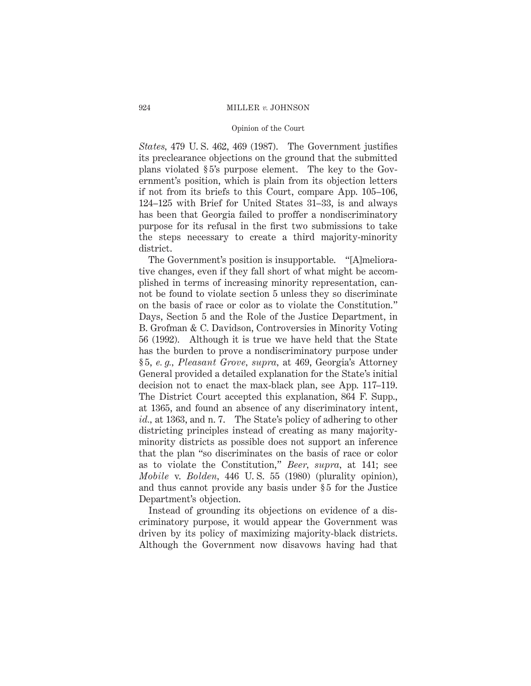*States,* 479 U. S. 462, 469 (1987). The Government justifies its preclearance objections on the ground that the submitted plans violated § 5's purpose element. The key to the Government's position, which is plain from its objection letters if not from its briefs to this Court, compare App. 105–106, 124–125 with Brief for United States 31–33, is and always has been that Georgia failed to proffer a nondiscriminatory purpose for its refusal in the first two submissions to take the steps necessary to create a third majority-minority district.

The Government's position is insupportable. "[A]meliorative changes, even if they fall short of what might be accomplished in terms of increasing minority representation, cannot be found to violate section 5 unless they so discriminate on the basis of race or color as to violate the Constitution." Days, Section 5 and the Role of the Justice Department, in B. Grofman & C. Davidson, Controversies in Minority Voting 56 (1992). Although it is true we have held that the State has the burden to prove a nondiscriminatory purpose under § 5, *e. g., Pleasant Grove, supra,* at 469, Georgia's Attorney General provided a detailed explanation for the State's initial decision not to enact the max-black plan, see App. 117–119. The District Court accepted this explanation, 864 F. Supp., at 1365, and found an absence of any discriminatory intent, *id.,* at 1363, and n. 7. The State's policy of adhering to other districting principles instead of creating as many majorityminority districts as possible does not support an inference that the plan "so discriminates on the basis of race or color as to violate the Constitution," *Beer, supra,* at 141; see *Mobile* v. *Bolden,* 446 U. S. 55 (1980) (plurality opinion), and thus cannot provide any basis under § 5 for the Justice Department's objection.

Instead of grounding its objections on evidence of a discriminatory purpose, it would appear the Government was driven by its policy of maximizing majority-black districts. Although the Government now disavows having had that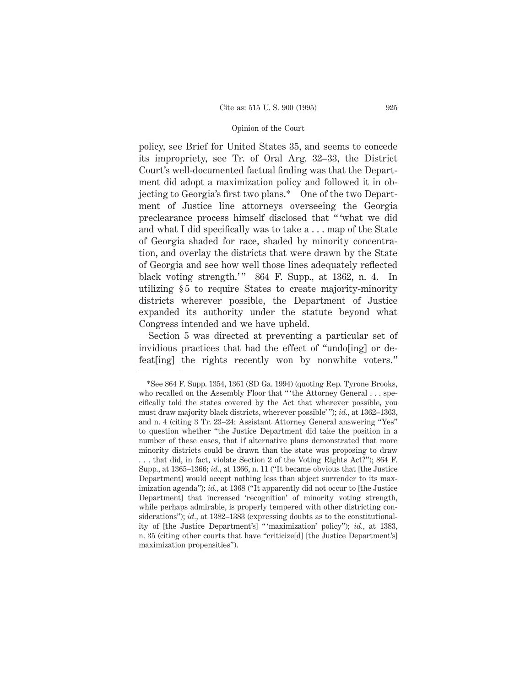policy, see Brief for United States 35, and seems to concede its impropriety, see Tr. of Oral Arg. 32–33, the District Court's well-documented factual finding was that the Department did adopt a maximization policy and followed it in objecting to Georgia's first two plans.\* One of the two Department of Justice line attorneys overseeing the Georgia preclearance process himself disclosed that " 'what we did and what I did specifically was to take a . . . map of the State of Georgia shaded for race, shaded by minority concentration, and overlay the districts that were drawn by the State of Georgia and see how well those lines adequately reflected black voting strength.'"  $864$  F. Supp., at 1362, n. 4. In utilizing § 5 to require States to create majority-minority districts wherever possible, the Department of Justice expanded its authority under the statute beyond what Congress intended and we have upheld.

Section 5 was directed at preventing a particular set of invidious practices that had the effect of "undo[ing] or defeat[ing] the rights recently won by nonwhite voters."

<sup>\*</sup>See 864 F. Supp. 1354, 1361 (SD Ga. 1994) (quoting Rep. Tyrone Brooks, who recalled on the Assembly Floor that "'the Attorney General . . . specifically told the states covered by the Act that wherever possible, you must draw majority black districts, wherever possible' "); *id.,* at 1362–1363, and n. 4 (citing 3 Tr. 23–24: Assistant Attorney General answering "Yes" to question whether "the Justice Department did take the position in a number of these cases, that if alternative plans demonstrated that more minority districts could be drawn than the state was proposing to draw . . . that did, in fact, violate Section 2 of the Voting Rights Act?"); 864 F. Supp., at 1365–1366; *id.,* at 1366, n. 11 ("It became obvious that [the Justice Department] would accept nothing less than abject surrender to its maximization agenda"); *id.,* at 1368 ("It apparently did not occur to [the Justice Department] that increased 'recognition' of minority voting strength, while perhaps admirable, is properly tempered with other districting considerations"); *id.*, at 1382–1383 (expressing doubts as to the constitutionality of [the Justice Department's] " 'maximization' policy"); *id.,* at 1383, n. 35 (citing other courts that have "criticize[d] [the Justice Department's] maximization propensities").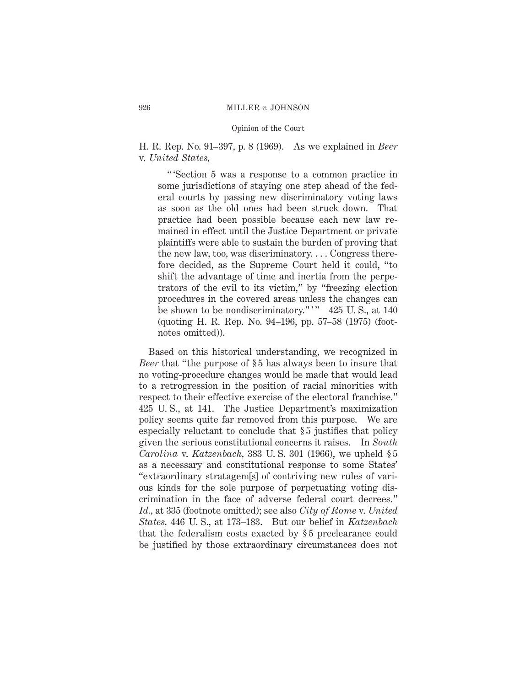H. R. Rep. No. 91–397, p. 8 (1969). As we explained in *Beer* v. *United States,*

" 'Section 5 was a response to a common practice in some jurisdictions of staying one step ahead of the federal courts by passing new discriminatory voting laws as soon as the old ones had been struck down. That practice had been possible because each new law remained in effect until the Justice Department or private plaintiffs were able to sustain the burden of proving that the new law, too, was discriminatory. . . . Congress therefore decided, as the Supreme Court held it could, "to shift the advantage of time and inertia from the perpetrators of the evil to its victim," by "freezing election procedures in the covered areas unless the changes can be shown to be nondiscriminatory." '"  $425$  U. S., at 140 (quoting H. R. Rep. No. 94–196, pp. 57–58 (1975) (footnotes omitted)).

Based on this historical understanding, we recognized in *Beer* that "the purpose of § 5 has always been to insure that no voting-procedure changes would be made that would lead to a retrogression in the position of racial minorities with respect to their effective exercise of the electoral franchise." 425 U. S., at 141. The Justice Department's maximization policy seems quite far removed from this purpose. We are especially reluctant to conclude that  $\S 5$  justifies that policy given the serious constitutional concerns it raises. In *South Carolina* v. *Katzenbach,* 383 U. S. 301 (1966), we upheld § 5 as a necessary and constitutional response to some States' "extraordinary stratagem[s] of contriving new rules of various kinds for the sole purpose of perpetuating voting discrimination in the face of adverse federal court decrees." *Id.,* at 335 (footnote omitted); see also *City of Rome* v. *United States,* 446 U. S., at 173–183. But our belief in *Katzenbach* that the federalism costs exacted by § 5 preclearance could be justified by those extraordinary circumstances does not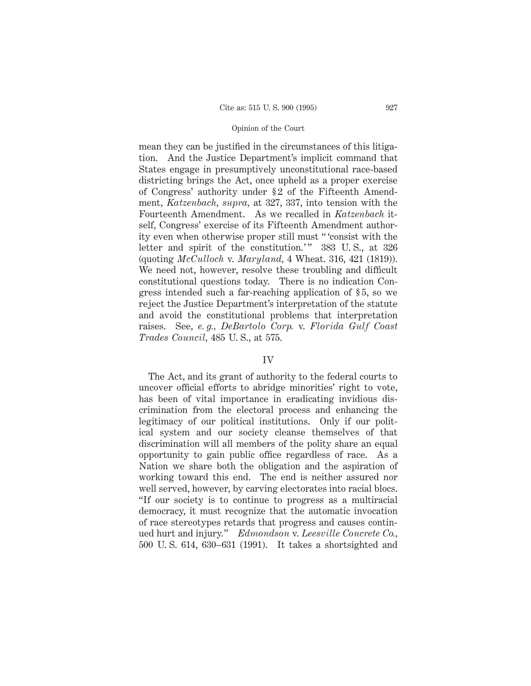mean they can be justified in the circumstances of this litigation. And the Justice Department's implicit command that States engage in presumptively unconstitutional race-based districting brings the Act, once upheld as a proper exercise of Congress' authority under § 2 of the Fifteenth Amendment, *Katzenbach, supra,* at 327, 337, into tension with the Fourteenth Amendment. As we recalled in *Katzenbach* itself, Congress' exercise of its Fifteenth Amendment authority even when otherwise proper still must " 'consist with the letter and spirit of the constitution.'"  $383 \text{ U.S., at } 326$ (quoting *McCulloch* v. *Maryland,* 4 Wheat. 316, 421 (1819)). We need not, however, resolve these troubling and difficult constitutional questions today. There is no indication Congress intended such a far-reaching application of § 5, so we reject the Justice Department's interpretation of the statute and avoid the constitutional problems that interpretation raises. See, *e. g., DeBartolo Corp.* v. *Florida Gulf Coast Trades Council,* 485 U. S., at 575.

### IV

The Act, and its grant of authority to the federal courts to uncover official efforts to abridge minorities' right to vote, has been of vital importance in eradicating invidious discrimination from the electoral process and enhancing the legitimacy of our political institutions. Only if our political system and our society cleanse themselves of that discrimination will all members of the polity share an equal opportunity to gain public office regardless of race. As a Nation we share both the obligation and the aspiration of working toward this end. The end is neither assured nor well served, however, by carving electorates into racial blocs. "If our society is to continue to progress as a multiracial democracy, it must recognize that the automatic invocation of race stereotypes retards that progress and causes continued hurt and injury." *Edmondson* v. *Leesville Concrete Co.,* 500 U. S. 614, 630–631 (1991). It takes a shortsighted and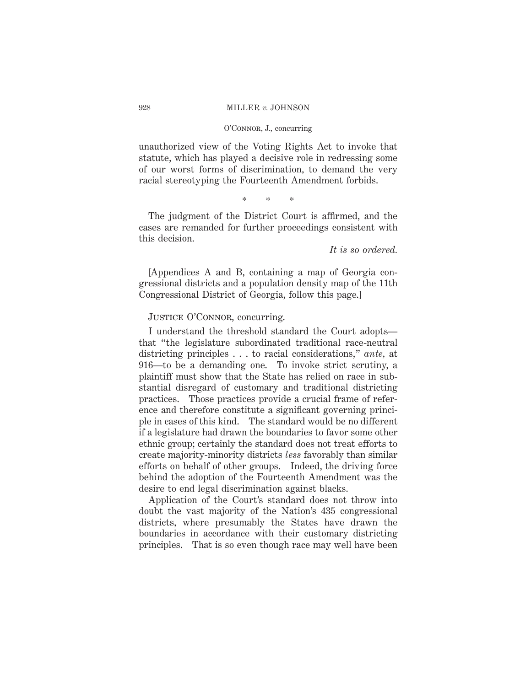## O'CONNOR, J., concurring

unauthorized view of the Voting Rights Act to invoke that statute, which has played a decisive role in redressing some of our worst forms of discrimination, to demand the very racial stereotyping the Fourteenth Amendment forbids.

\*\*\*

The judgment of the District Court is affirmed, and the cases are remanded for further proceedings consistent with this decision.

*It is so ordered.*

[Appendices A and B, containing a map of Georgia congressional districts and a population density map of the 11th Congressional District of Georgia, follow this page.]

#### JUSTICE O'CONNOR, concurring.

I understand the threshold standard the Court adopts that "the legislature subordinated traditional race-neutral districting principles . . . to racial considerations," *ante,* at 916—to be a demanding one. To invoke strict scrutiny, a plaintiff must show that the State has relied on race in substantial disregard of customary and traditional districting practices. Those practices provide a crucial frame of reference and therefore constitute a significant governing principle in cases of this kind. The standard would be no different if a legislature had drawn the boundaries to favor some other ethnic group; certainly the standard does not treat efforts to create majority-minority districts *less* favorably than similar efforts on behalf of other groups. Indeed, the driving force behind the adoption of the Fourteenth Amendment was the desire to end legal discrimination against blacks.

Application of the Court's standard does not throw into doubt the vast majority of the Nation's 435 congressional districts, where presumably the States have drawn the boundaries in accordance with their customary districting principles. That is so even though race may well have been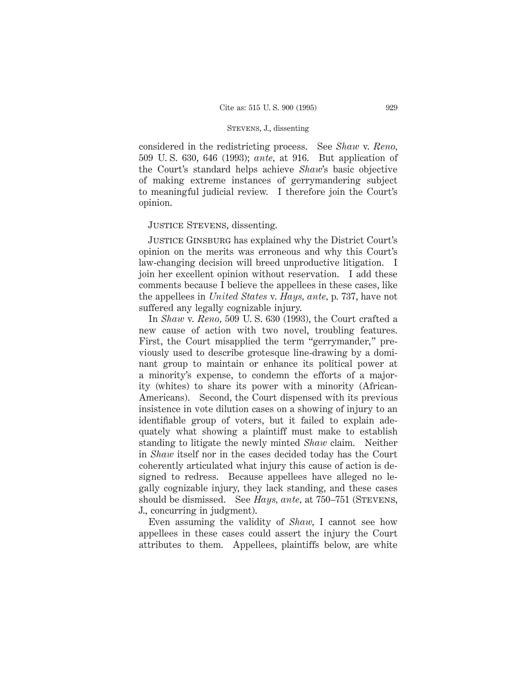considered in the redistricting process. See *Shaw* v. *Reno,* 509 U. S. 630, 646 (1993); *ante,* at 916. But application of the Court's standard helps achieve *Shaw*'s basic objective of making extreme instances of gerrymandering subject to meaningful judicial review. I therefore join the Court's opinion.

### Justice Stevens, dissenting.

Justice Ginsburg has explained why the District Court's opinion on the merits was erroneous and why this Court's law-changing decision will breed unproductive litigation. I join her excellent opinion without reservation. I add these comments because I believe the appellees in these cases, like the appellees in *United States* v. *Hays, ante,* p. 737, have not suffered any legally cognizable injury.

In *Shaw* v. *Reno,* 509 U. S. 630 (1993), the Court crafted a new cause of action with two novel, troubling features. First, the Court misapplied the term "gerrymander," previously used to describe grotesque line-drawing by a dominant group to maintain or enhance its political power at a minority's expense, to condemn the efforts of a majority (whites) to share its power with a minority (African-Americans). Second, the Court dispensed with its previous insistence in vote dilution cases on a showing of injury to an identifiable group of voters, but it failed to explain adequately what showing a plaintiff must make to establish standing to litigate the newly minted *Shaw* claim. Neither in *Shaw* itself nor in the cases decided today has the Court coherently articulated what injury this cause of action is designed to redress. Because appellees have alleged no legally cognizable injury, they lack standing, and these cases should be dismissed. See *Hays, ante*, at 750–751 (STEVENS, J., concurring in judgment).

Even assuming the validity of *Shaw,* I cannot see how appellees in these cases could assert the injury the Court attributes to them. Appellees, plaintiffs below, are white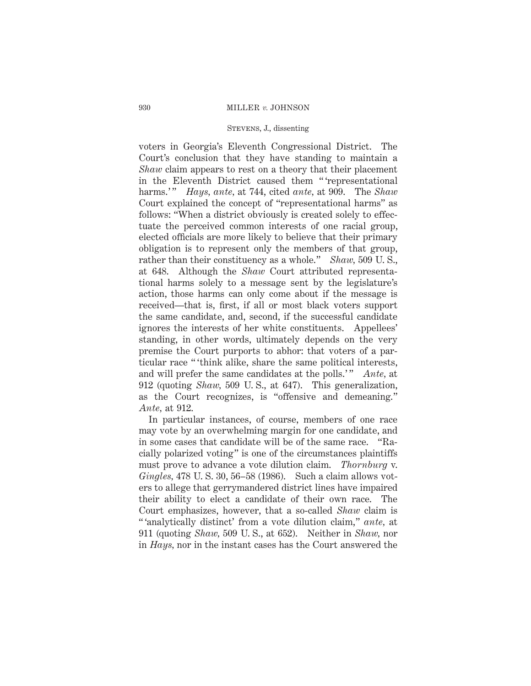## STEVENS, J., dissenting

voters in Georgia's Eleventh Congressional District. The Court's conclusion that they have standing to maintain a *Shaw* claim appears to rest on a theory that their placement in the Eleventh District caused them " 'representational harms.' " *Hays, ante,* at 744, cited *ante,* at 909. The *Shaw* Court explained the concept of "representational harms" as follows: "When a district obviously is created solely to effectuate the perceived common interests of one racial group, elected officials are more likely to believe that their primary obligation is to represent only the members of that group, rather than their constituency as a whole." *Shaw,* 509 U. S., at 648. Although the *Shaw* Court attributed representational harms solely to a message sent by the legislature's action, those harms can only come about if the message is received—that is, first, if all or most black voters support the same candidate, and, second, if the successful candidate ignores the interests of her white constituents. Appellees' standing, in other words, ultimately depends on the very premise the Court purports to abhor: that voters of a particular race " 'think alike, share the same political interests, and will prefer the same candidates at the polls.'" *Ante*, at 912 (quoting *Shaw,* 509 U. S., at 647). This generalization, as the Court recognizes, is "offensive and demeaning." *Ante,* at 912.

In particular instances, of course, members of one race may vote by an overwhelming margin for one candidate, and in some cases that candidate will be of the same race. "Racially polarized voting" is one of the circumstances plaintiffs must prove to advance a vote dilution claim. *Thornburg* v. *Gingles,* 478 U. S. 30, 56–58 (1986). Such a claim allows voters to allege that gerrymandered district lines have impaired their ability to elect a candidate of their own race. The Court emphasizes, however, that a so-called *Shaw* claim is " 'analytically distinct' from a vote dilution claim," *ante,* at 911 (quoting *Shaw,* 509 U. S., at 652). Neither in *Shaw,* nor in *Hays,* nor in the instant cases has the Court answered the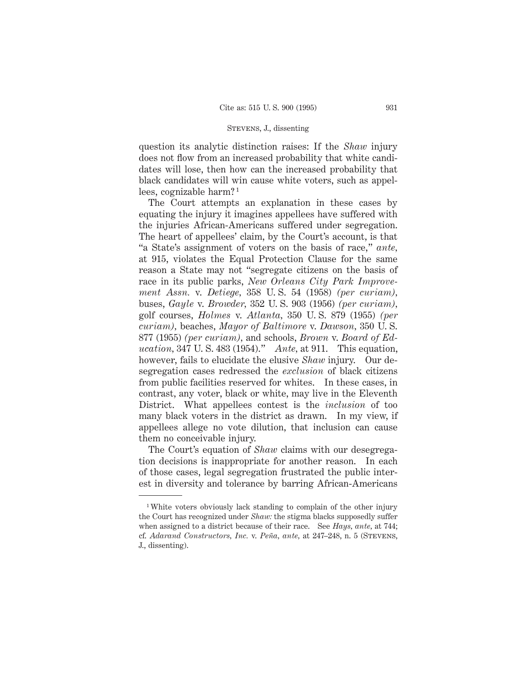question its analytic distinction raises: If the *Shaw* injury does not flow from an increased probability that white candidates will lose, then how can the increased probability that black candidates will win cause white voters, such as appellees, cognizable harm? <sup>1</sup>

The Court attempts an explanation in these cases by equating the injury it imagines appellees have suffered with the injuries African-Americans suffered under segregation. The heart of appellees' claim, by the Court's account, is that "a State's assignment of voters on the basis of race," *ante,* at 915, violates the Equal Protection Clause for the same reason a State may not "segregate citizens on the basis of race in its public parks, *New Orleans City Park Improvement Assn.* v. *Detiege,* 358 U. S. 54 (1958) *(per curiam),* buses, *Gayle* v. *Browder,* 352 U. S. 903 (1956) *(per curiam),* golf courses, *Holmes* v. *Atlanta,* 350 U. S. 879 (1955) *(per curiam),* beaches, *Mayor of Baltimore* v. *Dawson,* 350 U. S. 877 (1955) *(per curiam),* and schools, *Brown* v. *Board of Education,* 347 U. S. 483 (1954)." *Ante,* at 911. This equation, however, fails to elucidate the elusive *Shaw* injury. Our desegregation cases redressed the *exclusion* of black citizens from public facilities reserved for whites. In these cases, in contrast, any voter, black or white, may live in the Eleventh District. What appellees contest is the *inclusion* of too many black voters in the district as drawn. In my view, if appellees allege no vote dilution, that inclusion can cause them no conceivable injury.

The Court's equation of *Shaw* claims with our desegregation decisions is inappropriate for another reason. In each of those cases, legal segregation frustrated the public interest in diversity and tolerance by barring African-Americans

<sup>&</sup>lt;sup>1</sup>White voters obviously lack standing to complain of the other injury the Court has recognized under *Shaw:* the stigma blacks supposedly suffer when assigned to a district because of their race. See *Hays, ante,* at 744; cf. *Adarand Constructors, Inc.* v. *Pen˜ a, ante,* at 247–248, n. 5 (Stevens, J., dissenting).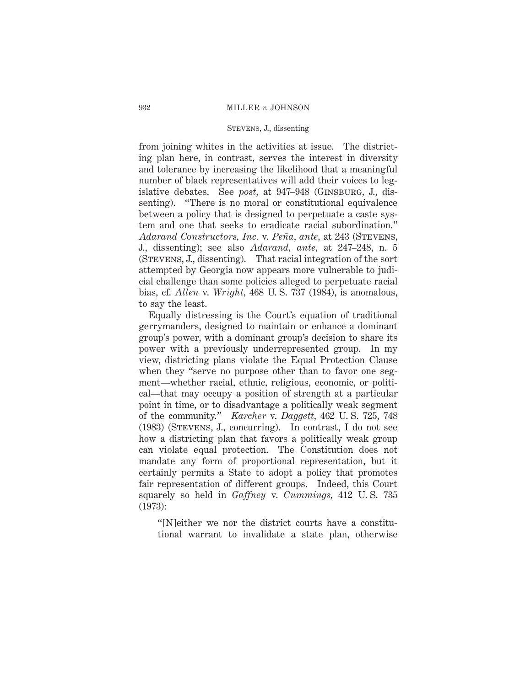from joining whites in the activities at issue. The districting plan here, in contrast, serves the interest in diversity and tolerance by increasing the likelihood that a meaningful number of black representatives will add their voices to legislative debates. See *post*, at 947–948 (GINSBURG, J., dissenting). "There is no moral or constitutional equivalence between a policy that is designed to perpetuate a caste system and one that seeks to eradicate racial subordination." *Adarand Constructors, Inc.* v. *Pen˜a*, *ante,* at 243 (Stevens, J., dissenting); see also *Adarand, ante,* at 247–248, n. 5 (Stevens, J., dissenting). That racial integration of the sort attempted by Georgia now appears more vulnerable to judicial challenge than some policies alleged to perpetuate racial bias, cf. *Allen* v. *Wright,* 468 U. S. 737 (1984), is anomalous, to say the least.

Equally distressing is the Court's equation of traditional gerrymanders, designed to maintain or enhance a dominant group's power, with a dominant group's decision to share its power with a previously underrepresented group. In my view, districting plans violate the Equal Protection Clause when they "serve no purpose other than to favor one segment—whether racial, ethnic, religious, economic, or political—that may occupy a position of strength at a particular point in time, or to disadvantage a politically weak segment of the community." *Karcher* v. *Daggett,* 462 U. S. 725, 748 (1983) (Stevens, J., concurring). In contrast, I do not see how a districting plan that favors a politically weak group can violate equal protection. The Constitution does not mandate any form of proportional representation, but it certainly permits a State to adopt a policy that promotes fair representation of different groups. Indeed, this Court squarely so held in *Gaffney* v. *Cummings,* 412 U. S. 735 (1973):

"[N]either we nor the district courts have a constitutional warrant to invalidate a state plan, otherwise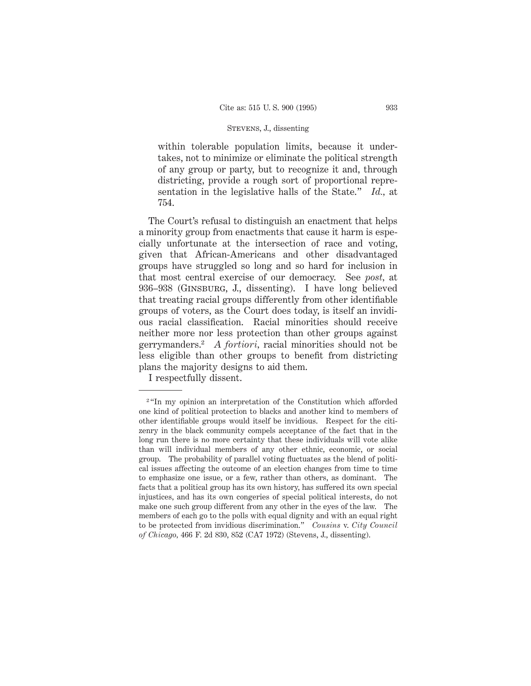within tolerable population limits, because it undertakes, not to minimize or eliminate the political strength of any group or party, but to recognize it and, through districting, provide a rough sort of proportional representation in the legislative halls of the State." *Id.,* at 754.

The Court's refusal to distinguish an enactment that helps a minority group from enactments that cause it harm is especially unfortunate at the intersection of race and voting, given that African-Americans and other disadvantaged groups have struggled so long and so hard for inclusion in that most central exercise of our democracy. See *post,* at 936–938 (Ginsburg, J., dissenting). I have long believed that treating racial groups differently from other identifiable groups of voters, as the Court does today, is itself an invidious racial classification. Racial minorities should receive neither more nor less protection than other groups against gerrymanders.2 *A fortiori,* racial minorities should not be less eligible than other groups to benefit from districting plans the majority designs to aid them.

I respectfully dissent.

<sup>&</sup>lt;sup>2</sup> "In my opinion an interpretation of the Constitution which afforded one kind of political protection to blacks and another kind to members of other identifiable groups would itself be invidious. Respect for the citizenry in the black community compels acceptance of the fact that in the long run there is no more certainty that these individuals will vote alike than will individual members of any other ethnic, economic, or social group. The probability of parallel voting fluctuates as the blend of political issues affecting the outcome of an election changes from time to time to emphasize one issue, or a few, rather than others, as dominant. The facts that a political group has its own history, has suffered its own special injustices, and has its own congeries of special political interests, do not make one such group different from any other in the eyes of the law. The members of each go to the polls with equal dignity and with an equal right to be protected from invidious discrimination." *Cousins* v. *City Council of Chicago,* 466 F. 2d 830, 852 (CA7 1972) (Stevens, J., dissenting).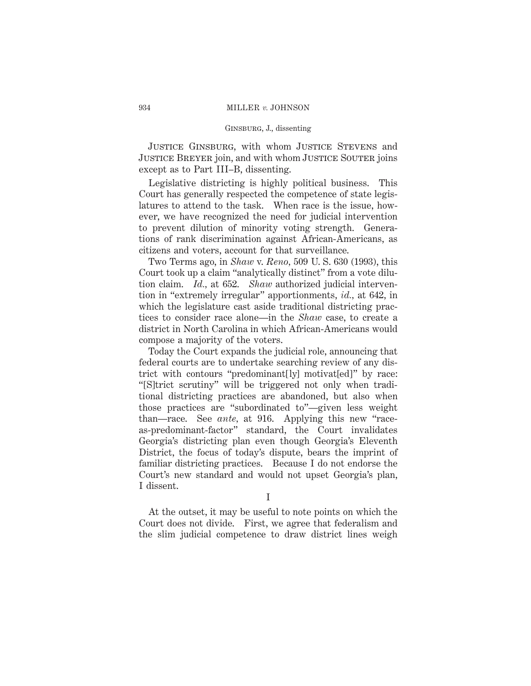Justice Ginsburg, with whom Justice Stevens and JUSTICE BREYER join, and with whom JUSTICE SOUTER joins except as to Part III–B, dissenting.

Legislative districting is highly political business. This Court has generally respected the competence of state legislatures to attend to the task. When race is the issue, however, we have recognized the need for judicial intervention to prevent dilution of minority voting strength. Generations of rank discrimination against African-Americans, as citizens and voters, account for that surveillance.

Two Terms ago, in *Shaw* v. *Reno,* 509 U. S. 630 (1993), this Court took up a claim "analytically distinct" from a vote dilution claim. *Id.,* at 652. *Shaw* authorized judicial intervention in "extremely irregular" apportionments, *id.,* at 642, in which the legislature cast aside traditional districting practices to consider race alone—in the *Shaw* case, to create a district in North Carolina in which African-Americans would compose a majority of the voters.

Today the Court expands the judicial role, announcing that federal courts are to undertake searching review of any district with contours "predominant[ly] motivat[ed]" by race: "[S]trict scrutiny" will be triggered not only when traditional districting practices are abandoned, but also when those practices are "subordinated to"—given less weight than—race. See *ante,* at 916. Applying this new "raceas-predominant-factor" standard, the Court invalidates Georgia's districting plan even though Georgia's Eleventh District, the focus of today's dispute, bears the imprint of familiar districting practices. Because I do not endorse the Court's new standard and would not upset Georgia's plan, I dissent.

I

At the outset, it may be useful to note points on which the Court does not divide. First, we agree that federalism and the slim judicial competence to draw district lines weigh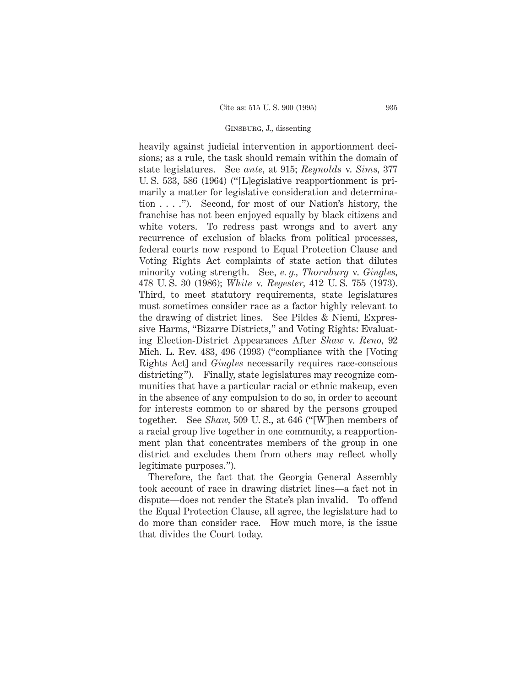heavily against judicial intervention in apportionment decisions; as a rule, the task should remain within the domain of state legislatures. See *ante,* at 915; *Reynolds* v. *Sims,* 377 U. S. 533, 586 (1964) ("[L]egislative reapportionment is primarily a matter for legislative consideration and determination . . . ."). Second, for most of our Nation's history, the franchise has not been enjoyed equally by black citizens and white voters. To redress past wrongs and to avert any recurrence of exclusion of blacks from political processes, federal courts now respond to Equal Protection Clause and Voting Rights Act complaints of state action that dilutes minority voting strength. See, *e. g., Thornburg* v. *Gingles,* 478 U. S. 30 (1986); *White* v. *Regester,* 412 U. S. 755 (1973). Third, to meet statutory requirements, state legislatures must sometimes consider race as a factor highly relevant to the drawing of district lines. See Pildes & Niemi, Expressive Harms, "Bizarre Districts," and Voting Rights: Evaluating Election-District Appearances After *Shaw* v. *Reno,* 92 Mich. L. Rev. 483, 496 (1993) ("compliance with the [Voting Rights Act] and *Gingles* necessarily requires race-conscious districting"). Finally, state legislatures may recognize communities that have a particular racial or ethnic makeup, even in the absence of any compulsion to do so, in order to account for interests common to or shared by the persons grouped together. See *Shaw,* 509 U. S., at 646 ("[W]hen members of a racial group live together in one community, a reapportionment plan that concentrates members of the group in one district and excludes them from others may reflect wholly legitimate purposes.").

Therefore, the fact that the Georgia General Assembly took account of race in drawing district lines—a fact not in dispute—does not render the State's plan invalid. To offend the Equal Protection Clause, all agree, the legislature had to do more than consider race. How much more, is the issue that divides the Court today.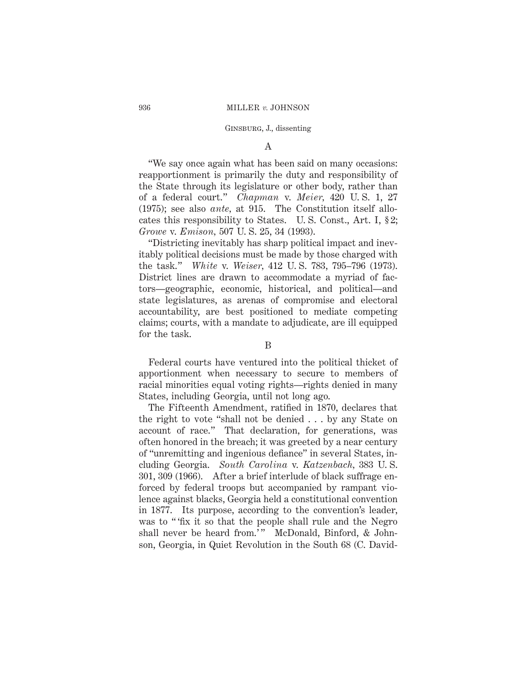# A

"We say once again what has been said on many occasions: reapportionment is primarily the duty and responsibility of the State through its legislature or other body, rather than of a federal court." *Chapman* v. *Meier,* 420 U. S. 1, 27 (1975); see also *ante,* at 915. The Constitution itself allocates this responsibility to States. U. S. Const., Art. I, § 2; *Growe* v. *Emison,* 507 U. S. 25, 34 (1993).

"Districting inevitably has sharp political impact and inevitably political decisions must be made by those charged with the task." *White* v. *Weiser,* 412 U. S. 783, 795–796 (1973). District lines are drawn to accommodate a myriad of factors—geographic, economic, historical, and political—and state legislatures, as arenas of compromise and electoral accountability, are best positioned to mediate competing claims; courts, with a mandate to adjudicate, are ill equipped for the task.

#### B

Federal courts have ventured into the political thicket of apportionment when necessary to secure to members of racial minorities equal voting rights—rights denied in many States, including Georgia, until not long ago.

The Fifteenth Amendment, ratified in 1870, declares that the right to vote "shall not be denied . . . by any State on account of race." That declaration, for generations, was often honored in the breach; it was greeted by a near century of "unremitting and ingenious defiance" in several States, including Georgia. *South Carolina* v. *Katzenbach,* 383 U. S. 301, 309 (1966). After a brief interlude of black suffrage enforced by federal troops but accompanied by rampant violence against blacks, Georgia held a constitutional convention in 1877. Its purpose, according to the convention's leader, was to ""fix it so that the people shall rule and the Negro shall never be heard from.'" McDonald, Binford, & Johnson, Georgia, in Quiet Revolution in the South 68 (C. David-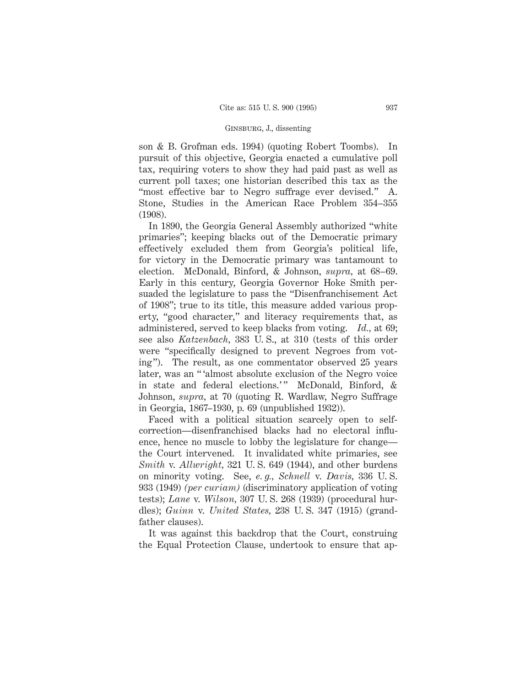son & B. Grofman eds. 1994) (quoting Robert Toombs). In pursuit of this objective, Georgia enacted a cumulative poll tax, requiring voters to show they had paid past as well as current poll taxes; one historian described this tax as the "most effective bar to Negro suffrage ever devised." A. Stone, Studies in the American Race Problem 354–355 (1908).

In 1890, the Georgia General Assembly authorized "white primaries"; keeping blacks out of the Democratic primary effectively excluded them from Georgia's political life, for victory in the Democratic primary was tantamount to election. McDonald, Binford, & Johnson, *supra,* at 68–69. Early in this century, Georgia Governor Hoke Smith persuaded the legislature to pass the "Disenfranchisement Act of 1908"; true to its title, this measure added various property, "good character," and literacy requirements that, as administered, served to keep blacks from voting. *Id.,* at 69; see also *Katzenbach,* 383 U. S., at 310 (tests of this order were "specifically designed to prevent Negroes from voting"). The result, as one commentator observed 25 years later, was an " 'almost absolute exclusion of the Negro voice in state and federal elections.'" McDonald, Binford,  $\&$ Johnson, *supra,* at 70 (quoting R. Wardlaw, Negro Suffrage in Georgia, 1867–1930, p. 69 (unpublished 1932)).

Faced with a political situation scarcely open to selfcorrection—disenfranchised blacks had no electoral influence, hence no muscle to lobby the legislature for change the Court intervened. It invalidated white primaries, see *Smith* v. *Allwright,* 321 U. S. 649 (1944), and other burdens on minority voting. See, *e. g., Schnell* v. *Davis,* 336 U. S. 933 (1949) *(per curiam)* (discriminatory application of voting tests); *Lane* v. *Wilson,* 307 U. S. 268 (1939) (procedural hurdles); *Guinn* v. *United States,* 238 U. S. 347 (1915) (grandfather clauses).

It was against this backdrop that the Court, construing the Equal Protection Clause, undertook to ensure that ap-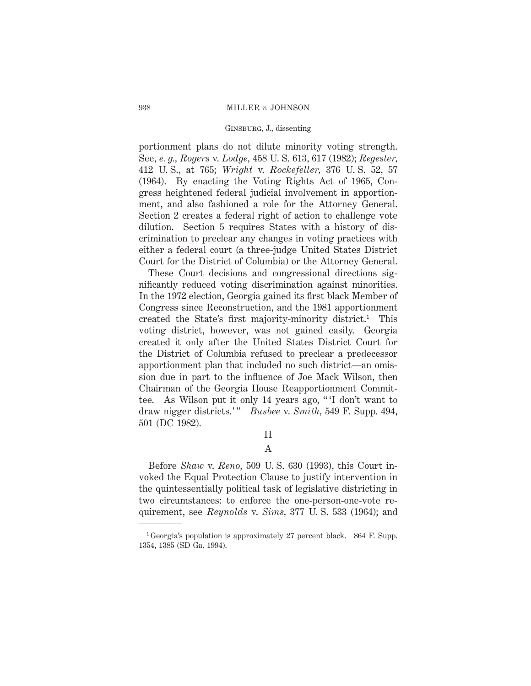portionment plans do not dilute minority voting strength. See, *e. g., Rogers* v. *Lodge,* 458 U. S. 613, 617 (1982); *Regester,* 412 U. S., at 765; *Wright* v. *Rockefeller,* 376 U. S. 52, 57 (1964). By enacting the Voting Rights Act of 1965, Congress heightened federal judicial involvement in apportionment, and also fashioned a role for the Attorney General. Section 2 creates a federal right of action to challenge vote dilution. Section 5 requires States with a history of discrimination to preclear any changes in voting practices with either a federal court (a three-judge United States District Court for the District of Columbia) or the Attorney General.

These Court decisions and congressional directions significantly reduced voting discrimination against minorities. In the 1972 election, Georgia gained its first black Member of Congress since Reconstruction, and the 1981 apportionment created the State's first majority-minority district.<sup>1</sup> This voting district, however, was not gained easily. Georgia created it only after the United States District Court for the District of Columbia refused to preclear a predecessor apportionment plan that included no such district—an omission due in part to the influence of Joe Mack Wilson, then Chairman of the Georgia House Reapportionment Committee. As Wilson put it only 14 years ago, " 'I don't want to draw nigger districts.'" *Busbee* v. *Smith*, 549 F. Supp. 494, 501 (DC 1982).

II

A

Before *Shaw* v. *Reno,* 509 U. S. 630 (1993), this Court invoked the Equal Protection Clause to justify intervention in the quintessentially political task of legislative districting in two circumstances: to enforce the one-person-one-vote requirement, see *Reynolds* v. *Sims,* 377 U. S. 533 (1964); and

<sup>1</sup> Georgia's population is approximately 27 percent black. 864 F. Supp. 1354, 1385 (SD Ga. 1994).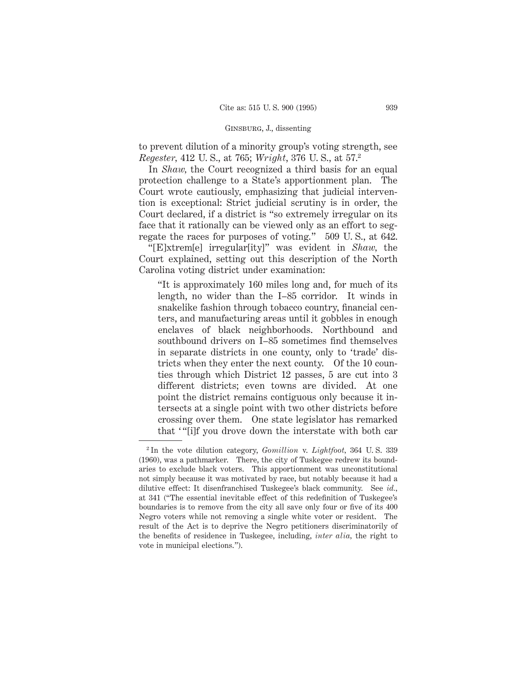to prevent dilution of a minority group's voting strength, see *Regester,* 412 U. S., at 765; *Wright*, 376 U. S., at 57.2

In *Shaw,* the Court recognized a third basis for an equal protection challenge to a State's apportionment plan. The Court wrote cautiously, emphasizing that judicial intervention is exceptional: Strict judicial scrutiny is in order, the Court declared, if a district is "so extremely irregular on its face that it rationally can be viewed only as an effort to segregate the races for purposes of voting." 509 U. S., at 642.

"[E]xtrem[e] irregular[ity]" was evident in *Shaw,* the Court explained, setting out this description of the North Carolina voting district under examination:

"It is approximately 160 miles long and, for much of its length, no wider than the I–85 corridor. It winds in snakelike fashion through tobacco country, financial centers, and manufacturing areas until it gobbles in enough enclaves of black neighborhoods. Northbound and southbound drivers on I–85 sometimes find themselves in separate districts in one county, only to 'trade' districts when they enter the next county. Of the 10 counties through which District 12 passes, 5 are cut into 3 different districts; even towns are divided. At one point the district remains contiguous only because it intersects at a single point with two other districts before crossing over them. One state legislator has remarked that ' "[i]f you drove down the interstate with both car

<sup>2</sup> In the vote dilution category, *Gomillion* v. *Lightfoot,* 364 U. S. 339 (1960), was a pathmarker. There, the city of Tuskegee redrew its boundaries to exclude black voters. This apportionment was unconstitutional not simply because it was motivated by race, but notably because it had a dilutive effect: It disenfranchised Tuskegee's black community. See *id.,* at 341 ("The essential inevitable effect of this redefinition of Tuskegee's boundaries is to remove from the city all save only four or five of its 400 Negro voters while not removing a single white voter or resident. The result of the Act is to deprive the Negro petitioners discriminatorily of the benefits of residence in Tuskegee, including, *inter alia,* the right to vote in municipal elections.").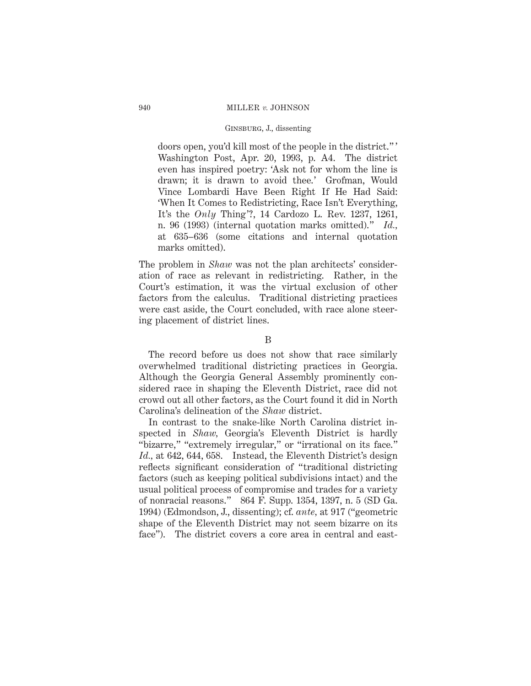doors open, you'd kill most of the people in the district." ' Washington Post, Apr. 20, 1993, p. A4. The district even has inspired poetry: 'Ask not for whom the line is drawn; it is drawn to avoid thee.' Grofman, Would Vince Lombardi Have Been Right If He Had Said: 'When It Comes to Redistricting, Race Isn't Everything, It's the *Only* Thing'?, 14 Cardozo L. Rev. 1237, 1261, n. 96 (1993) (internal quotation marks omitted)." *Id.,* at 635–636 (some citations and internal quotation marks omitted).

The problem in *Shaw* was not the plan architects' consideration of race as relevant in redistricting. Rather, in the Court's estimation, it was the virtual exclusion of other factors from the calculus. Traditional districting practices were cast aside, the Court concluded, with race alone steering placement of district lines.

#### B

The record before us does not show that race similarly overwhelmed traditional districting practices in Georgia. Although the Georgia General Assembly prominently considered race in shaping the Eleventh District, race did not crowd out all other factors, as the Court found it did in North Carolina's delineation of the *Shaw* district.

In contrast to the snake-like North Carolina district inspected in *Shaw,* Georgia's Eleventh District is hardly "bizarre," "extremely irregular," or "irrational on its face." *Id.,* at 642, 644, 658. Instead, the Eleventh District's design reflects significant consideration of "traditional districting factors (such as keeping political subdivisions intact) and the usual political process of compromise and trades for a variety of nonracial reasons." 864 F. Supp. 1354, 1397, n. 5 (SD Ga. 1994) (Edmondson, J., dissenting); cf. *ante,* at 917 ("geometric shape of the Eleventh District may not seem bizarre on its face"). The district covers a core area in central and east-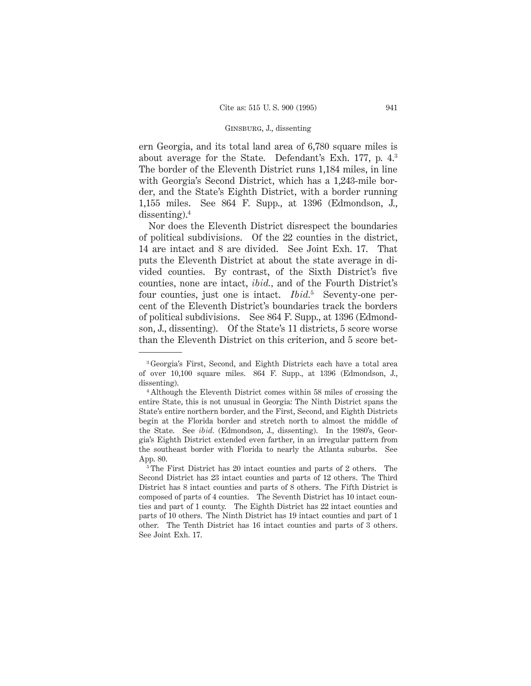ern Georgia, and its total land area of 6,780 square miles is about average for the State. Defendant's Exh. 177, p. 4.3 The border of the Eleventh District runs 1,184 miles, in line with Georgia's Second District, which has a 1,243-mile border, and the State's Eighth District, with a border running 1,155 miles. See 864 F. Supp., at 1396 (Edmondson, J., dissenting).4

Nor does the Eleventh District disrespect the boundaries of political subdivisions. Of the 22 counties in the district, 14 are intact and 8 are divided. See Joint Exh. 17. That puts the Eleventh District at about the state average in divided counties. By contrast, of the Sixth District's five counties, none are intact, *ibid.,* and of the Fourth District's four counties, just one is intact. *Ibid.*<sup>5</sup> Seventy-one percent of the Eleventh District's boundaries track the borders of political subdivisions. See 864 F. Supp., at 1396 (Edmondson, J., dissenting). Of the State's 11 districts, 5 score worse than the Eleventh District on this criterion, and 5 score bet-

<sup>3</sup> Georgia's First, Second, and Eighth Districts each have a total area of over 10,100 square miles. 864 F. Supp., at 1396 (Edmondson, J., dissenting).

<sup>4</sup> Although the Eleventh District comes within 58 miles of crossing the entire State, this is not unusual in Georgia: The Ninth District spans the State's entire northern border, and the First, Second, and Eighth Districts begin at the Florida border and stretch north to almost the middle of the State. See *ibid.* (Edmondson, J., dissenting). In the 1980's, Georgia's Eighth District extended even farther, in an irregular pattern from the southeast border with Florida to nearly the Atlanta suburbs. See App. 80.

<sup>5</sup> The First District has 20 intact counties and parts of 2 others. The Second District has 23 intact counties and parts of 12 others. The Third District has 8 intact counties and parts of 8 others. The Fifth District is composed of parts of 4 counties. The Seventh District has 10 intact counties and part of 1 county. The Eighth District has 22 intact counties and parts of 10 others. The Ninth District has 19 intact counties and part of 1 other. The Tenth District has 16 intact counties and parts of 3 others. See Joint Exh. 17.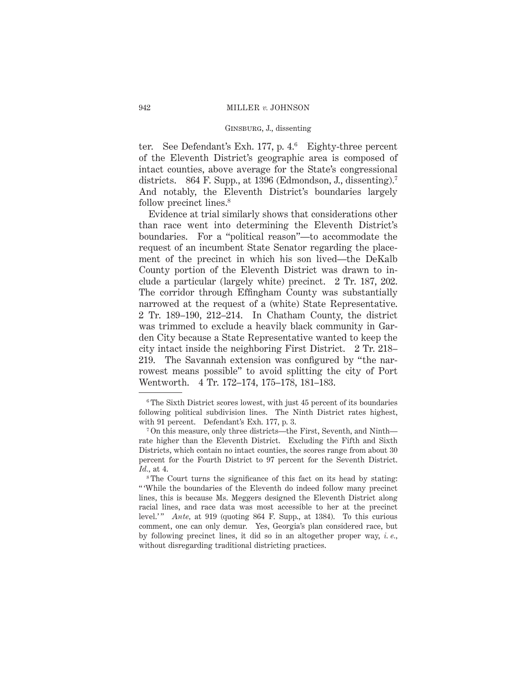ter. See Defendant's Exh. 177, p.  $4.6$  Eighty-three percent of the Eleventh District's geographic area is composed of intact counties, above average for the State's congressional districts. 864 F. Supp., at 1396 (Edmondson, J., dissenting).<sup>7</sup> And notably, the Eleventh District's boundaries largely follow precinct lines.<sup>8</sup>

Evidence at trial similarly shows that considerations other than race went into determining the Eleventh District's boundaries. For a "political reason"—to accommodate the request of an incumbent State Senator regarding the placement of the precinct in which his son lived—the DeKalb County portion of the Eleventh District was drawn to include a particular (largely white) precinct. 2 Tr. 187, 202. The corridor through Effingham County was substantially narrowed at the request of a (white) State Representative. 2 Tr. 189–190, 212–214. In Chatham County, the district was trimmed to exclude a heavily black community in Garden City because a State Representative wanted to keep the city intact inside the neighboring First District. 2 Tr. 218– 219. The Savannah extension was configured by "the narrowest means possible" to avoid splitting the city of Port Wentworth. 4 Tr. 172–174, 175–178, 181–183.

<sup>6</sup> The Sixth District scores lowest, with just 45 percent of its boundaries following political subdivision lines. The Ninth District rates highest, with 91 percent. Defendant's Exh. 177, p. 3.

<sup>7</sup> On this measure, only three districts—the First, Seventh, and Ninth rate higher than the Eleventh District. Excluding the Fifth and Sixth Districts, which contain no intact counties, the scores range from about 30 percent for the Fourth District to 97 percent for the Seventh District. *Id.,* at 4.

<sup>&</sup>lt;sup>8</sup>The Court turns the significance of this fact on its head by stating: " 'While the boundaries of the Eleventh do indeed follow many precinct lines, this is because Ms. Meggers designed the Eleventh District along racial lines, and race data was most accessible to her at the precinct level.'" *Ante*, at 919 (quoting 864 F. Supp., at 1384). To this curious comment, one can only demur. Yes, Georgia's plan considered race, but by following precinct lines, it did so in an altogether proper way, *i. e.,* without disregarding traditional districting practices.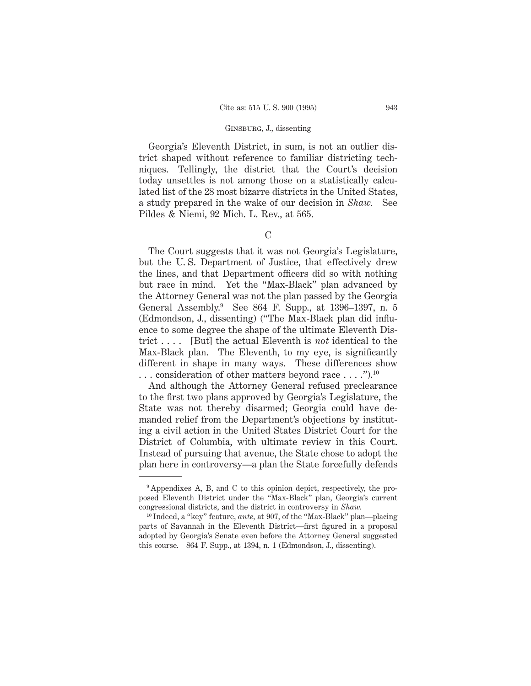Georgia's Eleventh District, in sum, is not an outlier district shaped without reference to familiar districting techniques. Tellingly, the district that the Court's decision today unsettles is not among those on a statistically calculated list of the 28 most bizarre districts in the United States, a study prepared in the wake of our decision in *Shaw.* See Pildes & Niemi, 92 Mich. L. Rev., at 565.

 $\mathcal{C}$ 

The Court suggests that it was not Georgia's Legislature, but the U. S. Department of Justice, that effectively drew the lines, and that Department officers did so with nothing but race in mind. Yet the "Max-Black" plan advanced by the Attorney General was not the plan passed by the Georgia General Assembly.9 See 864 F. Supp., at 1396–1397, n. 5 (Edmondson, J., dissenting) ("The Max-Black plan did influence to some degree the shape of the ultimate Eleventh District . . . . [But] the actual Eleventh is *not* identical to the Max-Black plan. The Eleventh, to my eye, is significantly different in shape in many ways. These differences show . . . consideration of other matters beyond race . . . .").10

And although the Attorney General refused preclearance to the first two plans approved by Georgia's Legislature, the State was not thereby disarmed; Georgia could have demanded relief from the Department's objections by instituting a civil action in the United States District Court for the District of Columbia, with ultimate review in this Court. Instead of pursuing that avenue, the State chose to adopt the plan here in controversy—a plan the State forcefully defends

<sup>9</sup> Appendixes A, B, and C to this opinion depict, respectively, the proposed Eleventh District under the "Max-Black" plan, Georgia's current congressional districts, and the district in controversy in *Shaw.*

<sup>10</sup> Indeed, a "key" feature, *ante,* at 907, of the "Max-Black" plan—placing parts of Savannah in the Eleventh District—first figured in a proposal adopted by Georgia's Senate even before the Attorney General suggested this course. 864 F. Supp., at 1394, n. 1 (Edmondson, J., dissenting).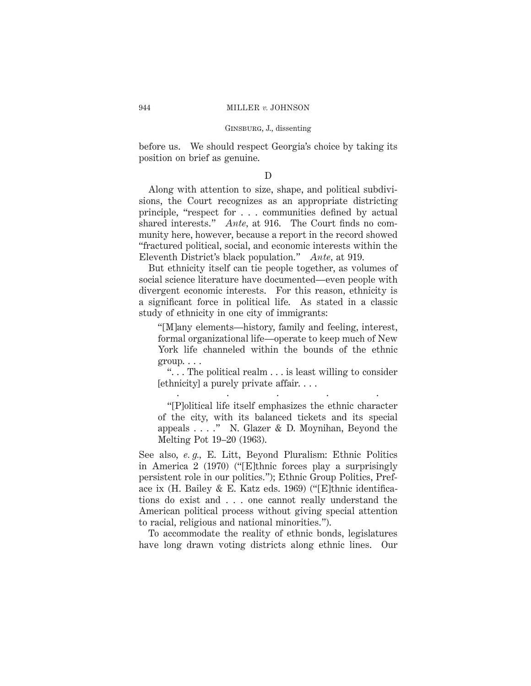before us. We should respect Georgia's choice by taking its position on brief as genuine.

D

Along with attention to size, shape, and political subdivisions, the Court recognizes as an appropriate districting principle, "respect for . . . communities defined by actual shared interests." *Ante,* at 916. The Court finds no community here, however, because a report in the record showed "fractured political, social, and economic interests within the Eleventh District's black population." *Ante,* at 919.

But ethnicity itself can tie people together, as volumes of social science literature have documented—even people with divergent economic interests. For this reason, ethnicity is a significant force in political life. As stated in a classic study of ethnicity in one city of immigrants:

"[M]any elements—history, family and feeling, interest, formal organizational life—operate to keep much of New York life channeled within the bounds of the ethnic group....

". . . The political realm . . . is least willing to consider [ethnicity] a purely private affair.... .....

"[P]olitical life itself emphasizes the ethnic character of the city, with its balanced tickets and its special appeals . . . ." N. Glazer & D. Moynihan, Beyond the Melting Pot 19–20 (1963).

See also, *e. g.,* E. Litt, Beyond Pluralism: Ethnic Politics in America 2 (1970) ("[E]thnic forces play a surprisingly persistent role in our politics."); Ethnic Group Politics, Preface ix (H. Bailey & E. Katz eds. 1969) ("[E]thnic identifications do exist and . . . one cannot really understand the American political process without giving special attention to racial, religious and national minorities.").

To accommodate the reality of ethnic bonds, legislatures have long drawn voting districts along ethnic lines. Our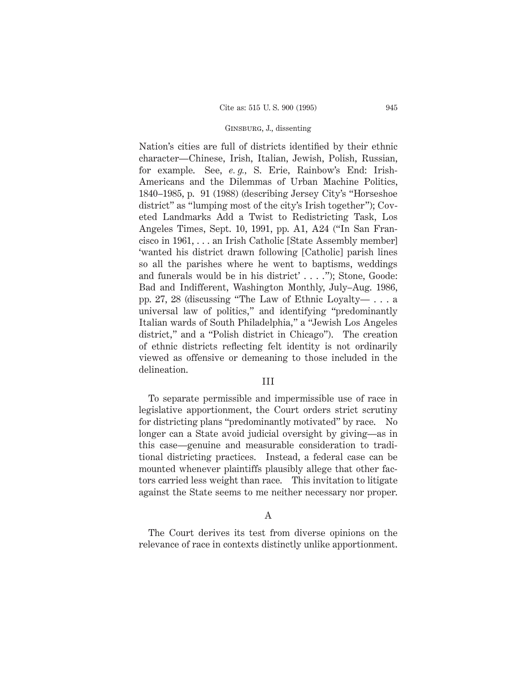Nation's cities are full of districts identified by their ethnic character—Chinese, Irish, Italian, Jewish, Polish, Russian, for example. See, *e. g.,* S. Erie, Rainbow's End: Irish-Americans and the Dilemmas of Urban Machine Politics, 1840–1985, p. 91 (1988) (describing Jersey City's "Horseshoe district" as "lumping most of the city's Irish together"); Coveted Landmarks Add a Twist to Redistricting Task, Los Angeles Times, Sept. 10, 1991, pp. A1, A24 ("In San Francisco in 1961, . . . an Irish Catholic [State Assembly member] 'wanted his district drawn following [Catholic] parish lines so all the parishes where he went to baptisms, weddings and funerals would be in his district' . . . ."); Stone, Goode: Bad and Indifferent, Washington Monthly, July–Aug. 1986, pp. 27, 28 (discussing "The Law of Ethnic Loyalty— $\ldots$  a universal law of politics," and identifying "predominantly Italian wards of South Philadelphia," a "Jewish Los Angeles district," and a "Polish district in Chicago"). The creation of ethnic districts reflecting felt identity is not ordinarily viewed as offensive or demeaning to those included in the delineation.

### III

To separate permissible and impermissible use of race in legislative apportionment, the Court orders strict scrutiny for districting plans "predominantly motivated" by race. No longer can a State avoid judicial oversight by giving—as in this case—genuine and measurable consideration to traditional districting practices. Instead, a federal case can be mounted whenever plaintiffs plausibly allege that other factors carried less weight than race. This invitation to litigate against the State seems to me neither necessary nor proper.

### A

The Court derives its test from diverse opinions on the relevance of race in contexts distinctly unlike apportionment.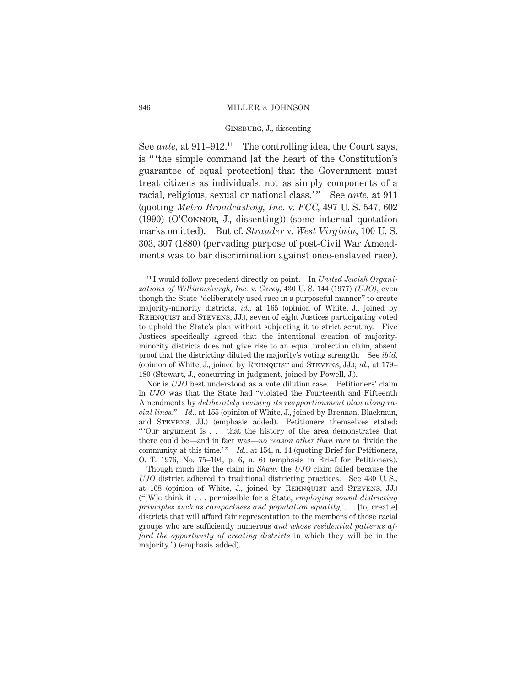See *ante*, at 911–912.<sup>11</sup> The controlling idea, the Court says, is " 'the simple command [at the heart of the Constitution's guarantee of equal protection] that the Government must treat citizens as individuals, not as simply components of a racial, religious, sexual or national class.'" See *ante*, at 911 (quoting *Metro Broadcasting, Inc.* v. *FCC,* 497 U. S. 547, 602 (1990) (O'Connor, J., dissenting)) (some internal quotation marks omitted). But cf. *Strauder* v. *West Virginia,* 100 U. S. 303, 307 (1880) (pervading purpose of post-Civil War Amendments was to bar discrimination against once-enslaved race).

<sup>11</sup> I would follow precedent directly on point. In *United Jewish Organizations of Williamsburgh, Inc.* v. *Carey,* 430 U. S. 144 (1977) *(UJO),* even though the State "deliberately used race in a purposeful manner" to create majority-minority districts, *id.,* at 165 (opinion of White, J., joined by Rehnquist and Stevens, JJ.), seven of eight Justices participating voted to uphold the State's plan without subjecting it to strict scrutiny. Five Justices specifically agreed that the intentional creation of majorityminority districts does not give rise to an equal protection claim, absent proof that the districting diluted the majority's voting strength. See *ibid.* (opinion of White, J., joined by Rehnquist and Stevens, JJ.); *id.,* at 179– 180 (Stewart, J., concurring in judgment, joined by Powell, J.).

Nor is *UJO* best understood as a vote dilution case. Petitioners' claim in *UJO* was that the State had "violated the Fourteenth and Fifteenth Amendments by *deliberately revising its reapportionment plan along racial lines.*" *Id.,* at 155 (opinion of White, J., joined by Brennan, Blackmun, and Stevens, JJ.) (emphasis added). Petitioners themselves stated: " 'Our argument is... that the history of the area demonstrates that there could be—and in fact was—*no reason other than race* to divide the community at this time.'" *Id.*, at 154, n. 14 (quoting Brief for Petitioners, O. T. 1976, No. 75–104, p. 6, n. 6) (emphasis in Brief for Petitioners).

Though much like the claim in *Shaw,* the *UJO* claim failed because the *UJO* district adhered to traditional districting practices. See 430 U. S., at 168 (opinion of White, J., joined by Rehnquist and Stevens, JJ.) ("[W]e think it . . . permissible for a State, *employing sound districting principles such as compactness and population equality,* . . . [to] creat[e] districts that will afford fair representation to the members of those racial groups who are sufficiently numerous *and whose residential patterns afford the opportunity of creating districts* in which they will be in the majority.") (emphasis added).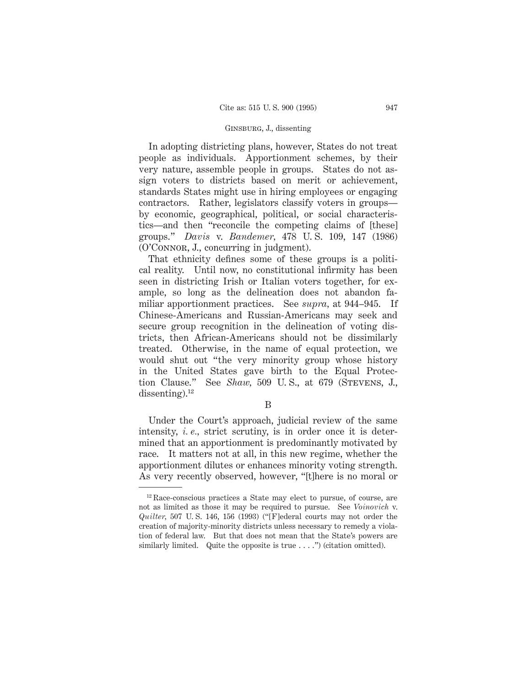In adopting districting plans, however, States do not treat people as individuals. Apportionment schemes, by their very nature, assemble people in groups. States do not assign voters to districts based on merit or achievement, standards States might use in hiring employees or engaging contractors. Rather, legislators classify voters in groups by economic, geographical, political, or social characteristics—and then "reconcile the competing claims of [these] groups." *Davis* v. *Bandemer,* 478 U. S. 109, 147 (1986) (O'Connor, J., concurring in judgment).

That ethnicity defines some of these groups is a political reality. Until now, no constitutional infirmity has been seen in districting Irish or Italian voters together, for example, so long as the delineation does not abandon familiar apportionment practices. See *supra,* at 944–945. If Chinese-Americans and Russian-Americans may seek and secure group recognition in the delineation of voting districts, then African-Americans should not be dissimilarly treated. Otherwise, in the name of equal protection, we would shut out "the very minority group whose history in the United States gave birth to the Equal Protection Clause." See *Shaw*, 509 U.S., at 679 (STEVENS, J.,  $dissenting$ <sup>12</sup>

B

Under the Court's approach, judicial review of the same intensity, *i. e.,* strict scrutiny, is in order once it is determined that an apportionment is predominantly motivated by race. It matters not at all, in this new regime, whether the apportionment dilutes or enhances minority voting strength. As very recently observed, however, "[t]here is no moral or

 $12$  Race-conscious practices a State may elect to pursue, of course, are not as limited as those it may be required to pursue. See *Voinovich* v. *Quilter,* 507 U. S. 146, 156 (1993) ("[F]ederal courts may not order the creation of majority-minority districts unless necessary to remedy a violation of federal law. But that does not mean that the State's powers are similarly limited. Quite the opposite is true  $\dots$ .") (citation omitted).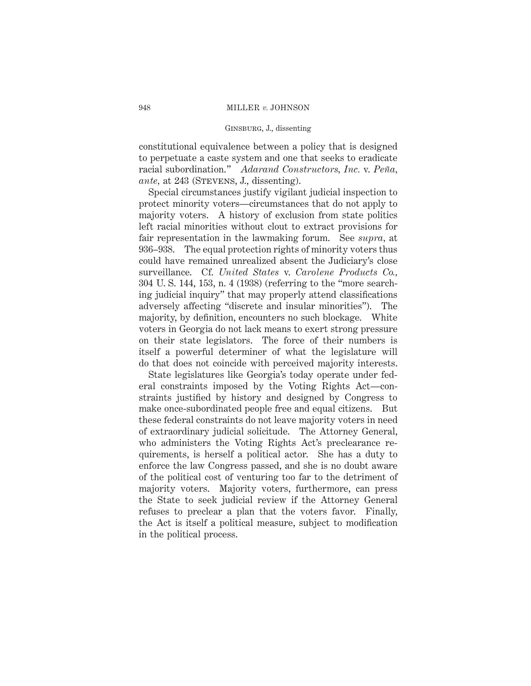constitutional equivalence between a policy that is designed to perpetuate a caste system and one that seeks to eradicate racial subordination." *Adarand Constructors, Inc.* v. *Peña*, *ante*, at 243 (STEVENS, J., dissenting).

Special circumstances justify vigilant judicial inspection to protect minority voters—circumstances that do not apply to majority voters. A history of exclusion from state politics left racial minorities without clout to extract provisions for fair representation in the lawmaking forum. See *supra,* at 936–938. The equal protection rights of minority voters thus could have remained unrealized absent the Judiciary's close surveillance. Cf. *United States* v. *Carolene Products Co.,* 304 U. S. 144, 153, n. 4 (1938) (referring to the "more searching judicial inquiry" that may properly attend classifications adversely affecting "discrete and insular minorities"). The majority, by definition, encounters no such blockage. White voters in Georgia do not lack means to exert strong pressure on their state legislators. The force of their numbers is itself a powerful determiner of what the legislature will do that does not coincide with perceived majority interests.

State legislatures like Georgia's today operate under federal constraints imposed by the Voting Rights Act—constraints justified by history and designed by Congress to make once-subordinated people free and equal citizens. But these federal constraints do not leave majority voters in need of extraordinary judicial solicitude. The Attorney General, who administers the Voting Rights Act's preclearance requirements, is herself a political actor. She has a duty to enforce the law Congress passed, and she is no doubt aware of the political cost of venturing too far to the detriment of majority voters. Majority voters, furthermore, can press the State to seek judicial review if the Attorney General refuses to preclear a plan that the voters favor. Finally, the Act is itself a political measure, subject to modification in the political process.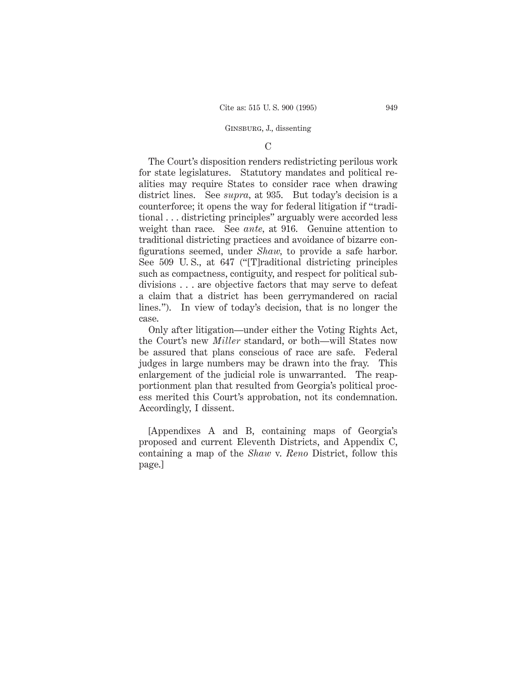#### $\mathcal{C}$

The Court's disposition renders redistricting perilous work for state legislatures. Statutory mandates and political realities may require States to consider race when drawing district lines. See *supra,* at 935. But today's decision is a counterforce; it opens the way for federal litigation if "traditional . . . districting principles" arguably were accorded less weight than race. See *ante,* at 916. Genuine attention to traditional districting practices and avoidance of bizarre configurations seemed, under *Shaw,* to provide a safe harbor. See 509 U. S., at 647 ("[T]raditional districting principles such as compactness, contiguity, and respect for political subdivisions . . . are objective factors that may serve to defeat a claim that a district has been gerrymandered on racial lines."). In view of today's decision, that is no longer the case.

Only after litigation—under either the Voting Rights Act, the Court's new *Miller* standard, or both—will States now be assured that plans conscious of race are safe. Federal judges in large numbers may be drawn into the fray. This enlargement of the judicial role is unwarranted. The reapportionment plan that resulted from Georgia's political process merited this Court's approbation, not its condemnation. Accordingly, I dissent.

[Appendixes A and B, containing maps of Georgia's proposed and current Eleventh Districts, and Appendix C, containing a map of the *Shaw* v. *Reno* District, follow this page.]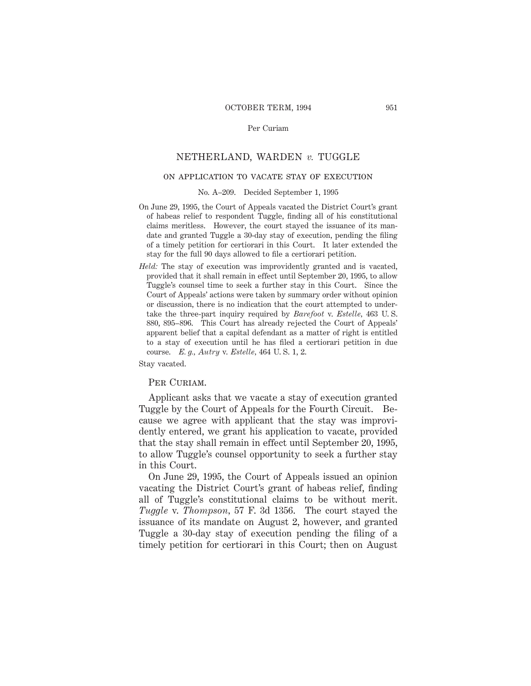#### Per Curiam

### NETHERLAND, WARDEN *v.* TUGGLE

# on application to vacate stay of execution

No. A–209. Decided September 1, 1995

- On June 29, 1995, the Court of Appeals vacated the District Court's grant of habeas relief to respondent Tuggle, finding all of his constitutional claims meritless. However, the court stayed the issuance of its mandate and granted Tuggle a 30-day stay of execution, pending the filing of a timely petition for certiorari in this Court. It later extended the stay for the full 90 days allowed to file a certiorari petition.
- *Held:* The stay of execution was improvidently granted and is vacated, provided that it shall remain in effect until September 20, 1995, to allow Tuggle's counsel time to seek a further stay in this Court. Since the Court of Appeals' actions were taken by summary order without opinion or discussion, there is no indication that the court attempted to undertake the three-part inquiry required by *Barefoot* v. *Estelle,* 463 U. S. 880, 895–896. This Court has already rejected the Court of Appeals' apparent belief that a capital defendant as a matter of right is entitled to a stay of execution until he has filed a certiorari petition in due course. *E. g., Autry* v. *Estelle,* 464 U. S. 1, 2.

Stay vacated.

### PER CURIAM.

Applicant asks that we vacate a stay of execution granted Tuggle by the Court of Appeals for the Fourth Circuit. Because we agree with applicant that the stay was improvidently entered, we grant his application to vacate, provided that the stay shall remain in effect until September 20, 1995, to allow Tuggle's counsel opportunity to seek a further stay in this Court.

On June 29, 1995, the Court of Appeals issued an opinion vacating the District Court's grant of habeas relief, finding all of Tuggle's constitutional claims to be without merit. *Tuggle* v. *Thompson,* 57 F. 3d 1356. The court stayed the issuance of its mandate on August 2, however, and granted Tuggle a 30-day stay of execution pending the filing of a timely petition for certiorari in this Court; then on August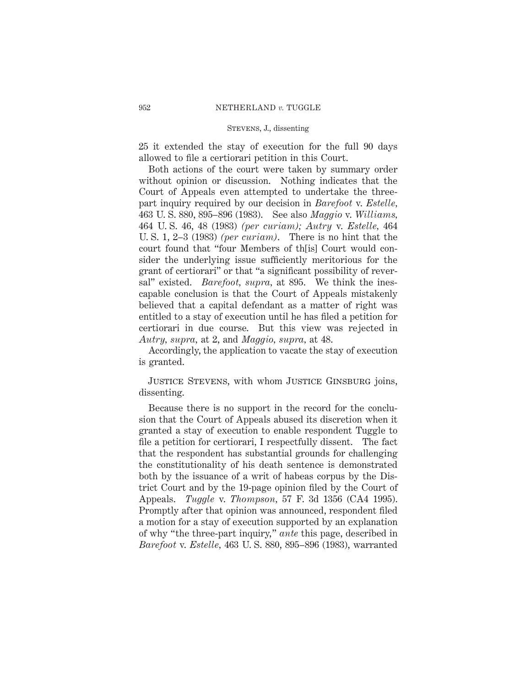25 it extended the stay of execution for the full 90 days allowed to file a certiorari petition in this Court.

Both actions of the court were taken by summary order without opinion or discussion. Nothing indicates that the Court of Appeals even attempted to undertake the threepart inquiry required by our decision in *Barefoot* v. *Estelle,* 463 U. S. 880, 895–896 (1983). See also *Maggio* v. *Williams,* 464 U. S. 46, 48 (1983) *(per curiam); Autry* v. *Estelle,* 464 U. S. 1, 2–3 (1983) *(per curiam)*. There is no hint that the court found that "four Members of th[is] Court would consider the underlying issue sufficiently meritorious for the grant of certiorari" or that "a significant possibility of reversal" existed. *Barefoot, supra,* at 895. We think the inescapable conclusion is that the Court of Appeals mistakenly believed that a capital defendant as a matter of right was entitled to a stay of execution until he has filed a petition for certiorari in due course. But this view was rejected in *Autry, supra,* at 2, and *Maggio, supra,* at 48.

Accordingly, the application to vacate the stay of execution is granted.

Justice Stevens, with whom Justice Ginsburg joins, dissenting.

Because there is no support in the record for the conclusion that the Court of Appeals abused its discretion when it granted a stay of execution to enable respondent Tuggle to file a petition for certiorari, I respectfully dissent. The fact that the respondent has substantial grounds for challenging the constitutionality of his death sentence is demonstrated both by the issuance of a writ of habeas corpus by the District Court and by the 19-page opinion filed by the Court of Appeals. *Tuggle* v. *Thompson,* 57 F. 3d 1356 (CA4 1995). Promptly after that opinion was announced, respondent filed a motion for a stay of execution supported by an explanation of why "the three-part inquiry," *ante* this page, described in *Barefoot* v. *Estelle,* 463 U. S. 880, 895–896 (1983), warranted